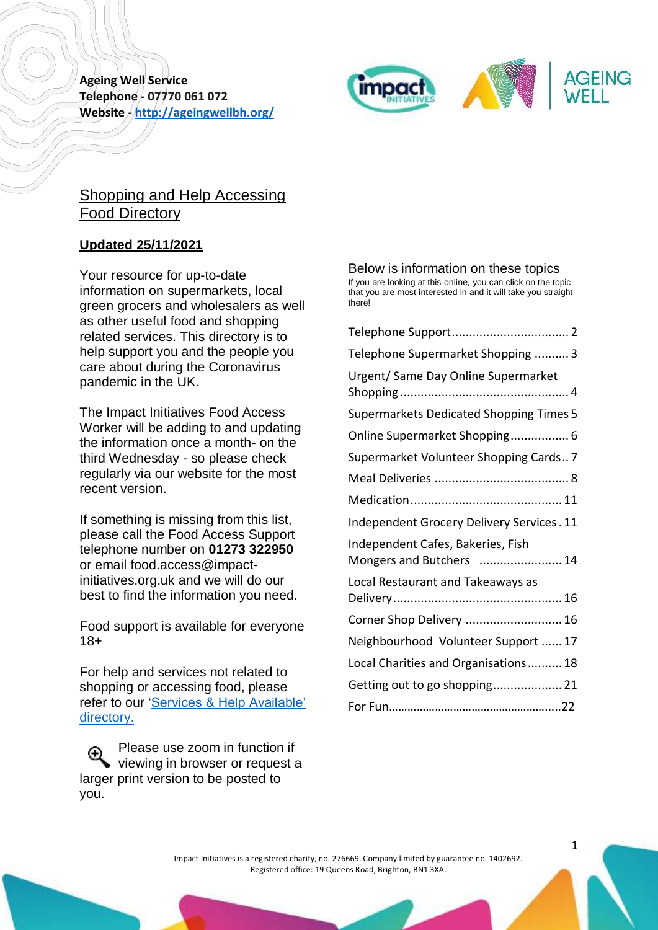

# Shopping and Help Accessing Food Directory

## **Updated 25/11/2021**

Your resource for up-to-date information on supermarkets, local green grocers and wholesalers as well as other useful food and shopping related services. This directory is to help support you and the people you care about during the Coronavirus pandemic in the UK.

The Impact Initiatives Food Access Worker will be adding to and updating the information once a month- on the third Wednesday - so please check regularly via our website for the most recent version.

If something is missing from this list, please call the Food Access Support telephone number on **01273 322950** or email food.access@impactinitiatives.org.uk and we will do our best to find the information you need.

Food support is available for everyone 18+

For help and services not related to shopping or accessing food, please refer to our ['Services & Help Available'](http://ageingwellbh.org/coronavirus/)  [directory.](http://ageingwellbh.org/coronavirus/)

Please use zoom in function if  $^\circledR$ viewing in browser or request a larger print version to be posted to you.

### Below is information on these topics

If you are looking at this online, you can click on the topic that you are most interested in and it will take you straight there!

| Telephone Supermarket Shopping  3                             |
|---------------------------------------------------------------|
| Urgent/ Same Day Online Supermarket                           |
| <b>Supermarkets Dedicated Shopping Times 5</b>                |
| Online Supermarket Shopping 6                                 |
| Supermarket Volunteer Shopping Cards7                         |
|                                                               |
|                                                               |
| Independent Grocery Delivery Services. 11                     |
| Independent Cafes, Bakeries, Fish<br>Mongers and Butchers  14 |
| Local Restaurant and Takeaways as                             |
| Corner Shop Delivery  16                                      |
| Neighbourhood Volunteer Support  17                           |
| Local Charities and Organisations 18                          |
| Getting out to go shopping 21                                 |
|                                                               |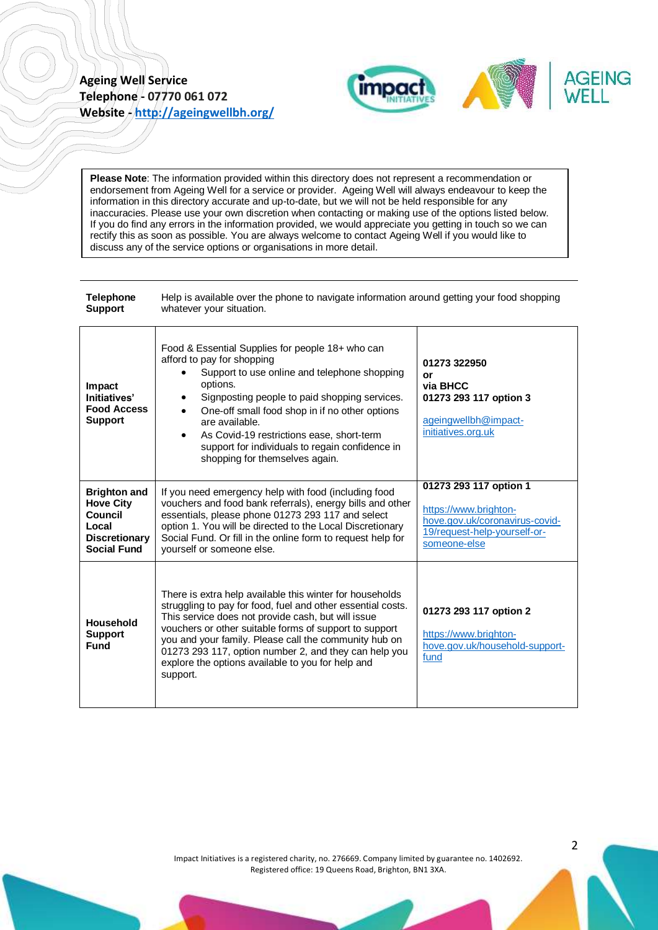

**Please Note**: The information provided within this directory does not represent a recommendation or endorsement from Ageing Well for a service or provider. Ageing Well will always endeavour to keep the information in this directory accurate and up-to-date, but we will not be held responsible for any inaccuracies. Please use your own discretion when contacting or making use of the options listed below. If you do find any errors in the information provided, we would appreciate you getting in touch so we can rectify this as soon as possible. You are always welcome to contact Ageing Well if you would like to discuss any of the service options or organisations in more detail.

<span id="page-1-0"></span>

| <b>Telephone</b><br><b>Support</b>                                                                        | Help is available over the phone to navigate information around getting your food shopping<br>whatever your situation.                                                                                                                                                                                                                                                                                                           |                                                                                                                                   |
|-----------------------------------------------------------------------------------------------------------|----------------------------------------------------------------------------------------------------------------------------------------------------------------------------------------------------------------------------------------------------------------------------------------------------------------------------------------------------------------------------------------------------------------------------------|-----------------------------------------------------------------------------------------------------------------------------------|
| Impact<br>Initiatives'<br><b>Food Access</b><br><b>Support</b>                                            | Food & Essential Supplies for people 18+ who can<br>afford to pay for shopping<br>Support to use online and telephone shopping<br>options.<br>Signposting people to paid shopping services.<br>٠<br>One-off small food shop in if no other options<br>$\bullet$<br>are available.<br>As Covid-19 restrictions ease, short-term<br>$\bullet$<br>support for individuals to regain confidence in<br>shopping for themselves again. | 01273 322950<br>or<br>via BHCC<br>01273 293 117 option 3<br>ageingwellbh@impact-<br>initiatives.org.uk                            |
| <b>Brighton and</b><br><b>Hove City</b><br>Council<br>Local<br><b>Discretionary</b><br><b>Social Fund</b> | If you need emergency help with food (including food<br>vouchers and food bank referrals), energy bills and other<br>essentials, please phone 01273 293 117 and select<br>option 1. You will be directed to the Local Discretionary<br>Social Fund. Or fill in the online form to request help for<br>yourself or someone else.                                                                                                  | 01273 293 117 option 1<br>https://www.brighton-<br>hove.gov.uk/coronavirus-covid-<br>19/request-help-yourself-or-<br>someone-else |
| <b>Household</b><br><b>Support</b><br><b>Fund</b>                                                         | There is extra help available this winter for households<br>struggling to pay for food, fuel and other essential costs.<br>This service does not provide cash, but will issue<br>vouchers or other suitable forms of support to support<br>you and your family. Please call the community hub on<br>01273 293 117, option number 2, and they can help you<br>explore the options available to you for help and<br>support.       | 01273 293 117 option 2<br>https://www.brighton-<br>hove.gov.uk/household-support-<br>fund                                         |

Impact Initiatives is a registered charity, no. 276669. Company limited by guarantee no. 1402692. Registered office: 19 Queens Road, Brighton, BN1 3XA.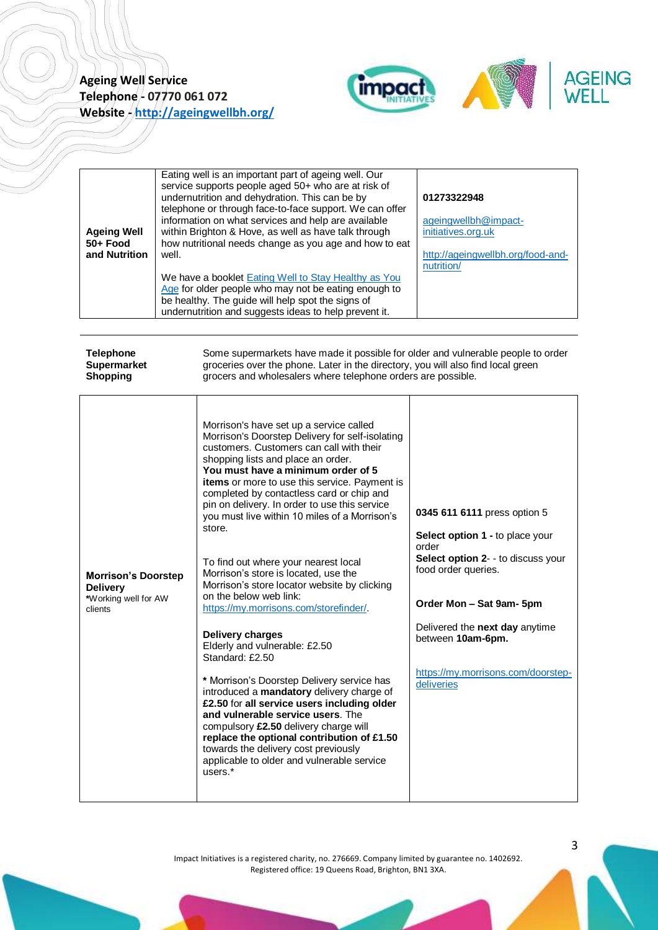

| <b>Ageing Well</b><br>50+ Food<br>and Nutrition | Eating well is an important part of ageing well. Our<br>service supports people aged 50+ who are at risk of<br>undernutrition and dehydration. This can be by<br>telephone or through face-to-face support. We can offer<br>information on what services and help are available<br>within Brighton & Hove, as well as have talk through<br>how nutritional needs change as you age and how to eat<br>well. | 01273322948<br>ageingwellbh@impact-<br>initiatives.org.uk<br>http://ageingwellbh.org/food-and-<br>nutrition/ |
|-------------------------------------------------|------------------------------------------------------------------------------------------------------------------------------------------------------------------------------------------------------------------------------------------------------------------------------------------------------------------------------------------------------------------------------------------------------------|--------------------------------------------------------------------------------------------------------------|
|                                                 | We have a booklet Eating Well to Stay Healthy as You<br>Age for older people who may not be eating enough to<br>be healthy. The guide will help spot the signs of<br>undernutrition and suggests ideas to help prevent it.                                                                                                                                                                                 |                                                                                                              |

<span id="page-2-0"></span>

| <b>Telephone</b>                                                                 | Some supermarkets have made it possible for older and vulnerable people to order                                                                                                                                                                                                                                                                                                                                                                                                                                                                                                                                                                                                                                                                                                                                                                                                                                                                                                                                                                                                       |                                                                                                                                                                                                                                                                              |
|----------------------------------------------------------------------------------|----------------------------------------------------------------------------------------------------------------------------------------------------------------------------------------------------------------------------------------------------------------------------------------------------------------------------------------------------------------------------------------------------------------------------------------------------------------------------------------------------------------------------------------------------------------------------------------------------------------------------------------------------------------------------------------------------------------------------------------------------------------------------------------------------------------------------------------------------------------------------------------------------------------------------------------------------------------------------------------------------------------------------------------------------------------------------------------|------------------------------------------------------------------------------------------------------------------------------------------------------------------------------------------------------------------------------------------------------------------------------|
| <b>Supermarket</b>                                                               | groceries over the phone. Later in the directory, you will also find local green                                                                                                                                                                                                                                                                                                                                                                                                                                                                                                                                                                                                                                                                                                                                                                                                                                                                                                                                                                                                       |                                                                                                                                                                                                                                                                              |
| <b>Shopping</b>                                                                  | grocers and wholesalers where telephone orders are possible.                                                                                                                                                                                                                                                                                                                                                                                                                                                                                                                                                                                                                                                                                                                                                                                                                                                                                                                                                                                                                           |                                                                                                                                                                                                                                                                              |
| <b>Morrison's Doorstep</b><br><b>Delivery</b><br>*Working well for AW<br>clients | Morrison's have set up a service called<br>Morrison's Doorstep Delivery for self-isolating<br>customers. Customers can call with their<br>shopping lists and place an order.<br>You must have a minimum order of 5<br><b>items</b> or more to use this service. Payment is<br>completed by contactless card or chip and<br>pin on delivery. In order to use this service<br>vou must live within 10 miles of a Morrison's<br>store.<br>To find out where your nearest local<br>Morrison's store is located, use the<br>Morrison's store locator website by clicking<br>on the below web link:<br>https://my.morrisons.com/storefinder/.<br>Delivery charges<br>Elderly and vulnerable: £2.50<br>Standard: £2.50<br>* Morrison's Doorstep Delivery service has<br>introduced a mandatory delivery charge of<br>£2.50 for all service users including older<br>and vulnerable service users. The<br>compulsory £2.50 delivery charge will<br>replace the optional contribution of £1.50<br>towards the delivery cost previously<br>applicable to older and vulnerable service<br>users.* | 0345 611 6111 press option 5<br>Select option 1 - to place your<br>order<br>Select option 2- - to discuss your<br>food order queries.<br>Order Mon - Sat 9am- 5pm<br>Delivered the next day anytime<br>between 10am-6pm.<br>https://my.morrisons.com/doorstep-<br>deliveries |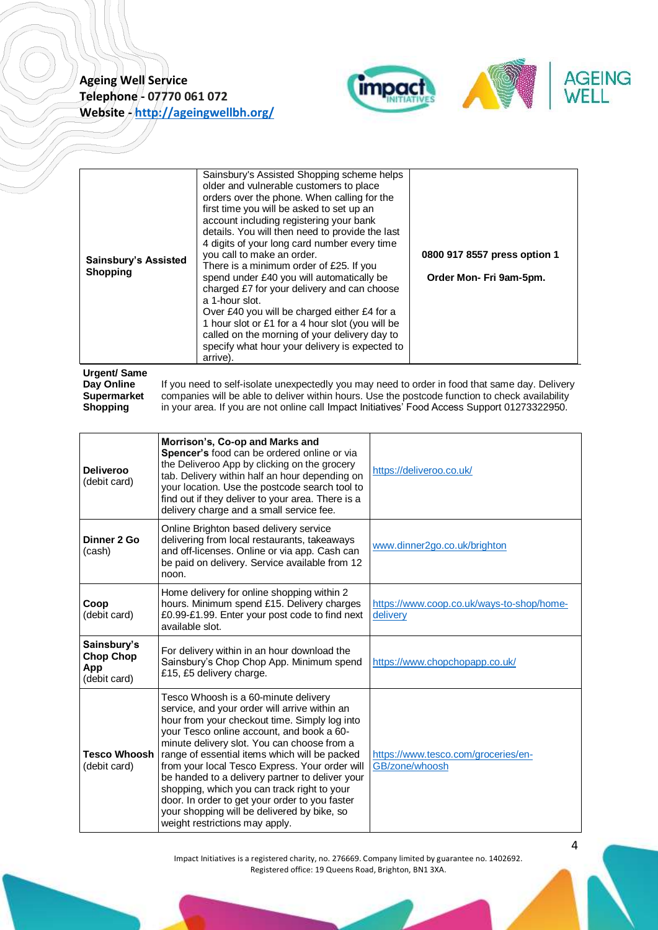

|--|

#### <span id="page-3-0"></span>**Urgent/ Same Day Online Supermarket Shopping**

If you need to self-isolate unexpectedly you may need to order in food that same day. Delivery companies will be able to deliver within hours. Use the postcode function to check availability in your area. If you are not online call Impact Initiatives' Food Access Support 01273322950.

| <b>Deliveroo</b><br>(debit card)                       | Morrison's, Co-op and Marks and<br>Spencer's food can be ordered online or via<br>the Deliveroo App by clicking on the grocery<br>tab. Delivery within half an hour depending on<br>your location. Use the postcode search tool to<br>find out if they deliver to your area. There is a<br>delivery charge and a small service fee.                                                                                                                                                                                                                                        | https://deliveroo.co.uk/                              |
|--------------------------------------------------------|----------------------------------------------------------------------------------------------------------------------------------------------------------------------------------------------------------------------------------------------------------------------------------------------------------------------------------------------------------------------------------------------------------------------------------------------------------------------------------------------------------------------------------------------------------------------------|-------------------------------------------------------|
| Dinner 2 Go<br>(cash)                                  | Online Brighton based delivery service<br>delivering from local restaurants, takeaways<br>and off-licenses. Online or via app. Cash can<br>be paid on delivery. Service available from 12<br>noon.                                                                                                                                                                                                                                                                                                                                                                         | www.dinner2go.co.uk/brighton                          |
| Coop<br>(debit card)                                   | Home delivery for online shopping within 2<br>hours. Minimum spend £15. Delivery charges<br>£0.99-£1.99. Enter your post code to find next<br>available slot.                                                                                                                                                                                                                                                                                                                                                                                                              | https://www.coop.co.uk/ways-to-shop/home-<br>delivery |
| Sainsbury's<br><b>Chop Chop</b><br>App<br>(debit card) | For delivery within in an hour download the<br>Sainsbury's Chop Chop App. Minimum spend<br>£15, £5 delivery charge.                                                                                                                                                                                                                                                                                                                                                                                                                                                        | https://www.chopchopapp.co.uk/                        |
| Tesco Whoosh<br>(debit card)                           | Tesco Whoosh is a 60-minute delivery<br>service, and your order will arrive within an<br>hour from your checkout time. Simply log into<br>your Tesco online account, and book a 60-<br>minute delivery slot. You can choose from a<br>range of essential items which will be packed<br>from your local Tesco Express. Your order will<br>be handed to a delivery partner to deliver your<br>shopping, which you can track right to your<br>door. In order to get your order to you faster<br>your shopping will be delivered by bike, so<br>weight restrictions may apply. | https://www.tesco.com/groceries/en-<br>GB/zone/whoosh |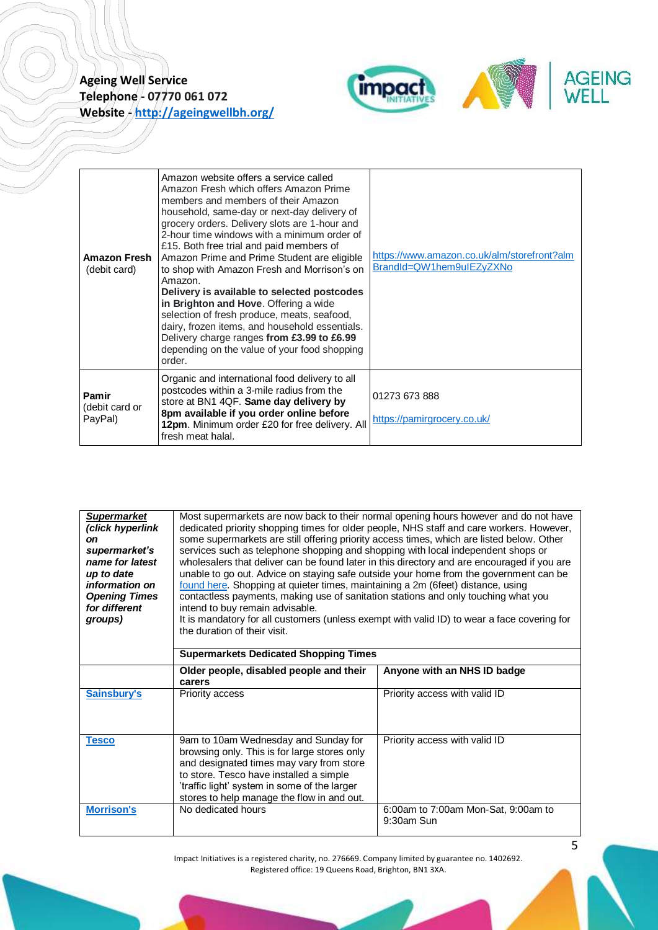

| Amazon Fresh<br>(debit card)       | Amazon website offers a service called<br>Amazon Fresh which offers Amazon Prime<br>members and members of their Amazon<br>household, same-day or next-day delivery of<br>grocery orders. Delivery slots are 1-hour and<br>2-hour time windows with a minimum order of<br>£15. Both free trial and paid members of<br>Amazon Prime and Prime Student are eligible<br>to shop with Amazon Fresh and Morrison's on<br>Amazon.<br>Delivery is available to selected postcodes<br>in Brighton and Hove. Offering a wide<br>selection of fresh produce, meats, seafood,<br>dairy, frozen items, and household essentials.<br>Delivery charge ranges from £3.99 to £6.99<br>depending on the value of your food shopping<br>order. | https://www.amazon.co.uk/alm/storefront?alm<br>BrandId=QW1hem9uIEZyZXNo |
|------------------------------------|------------------------------------------------------------------------------------------------------------------------------------------------------------------------------------------------------------------------------------------------------------------------------------------------------------------------------------------------------------------------------------------------------------------------------------------------------------------------------------------------------------------------------------------------------------------------------------------------------------------------------------------------------------------------------------------------------------------------------|-------------------------------------------------------------------------|
| Pamir<br>(debit card or<br>PayPal) | Organic and international food delivery to all<br>postcodes within a 3-mile radius from the<br>store at BN1 4QF. Same day delivery by<br>8pm available if you order online before<br>12pm. Minimum order £20 for free delivery. All<br>fresh meat halal.                                                                                                                                                                                                                                                                                                                                                                                                                                                                     | 01273 673 888<br>https://pamirgrocery.co.uk/                            |

<span id="page-4-0"></span>

| <b>Supermarket</b><br>(click hyperlink<br><b>on</b><br>supermarket's<br>name for latest<br>up to date<br><i>information on</i><br><b>Opening Times</b><br>for different<br>groups) | Most supermarkets are now back to their normal opening hours however and do not have<br>dedicated priority shopping times for older people, NHS staff and care workers. However,<br>some supermarkets are still offering priority access times, which are listed below. Other<br>services such as telephone shopping and shopping with local independent shops or<br>wholesalers that deliver can be found later in this directory and are encouraged if you are<br>unable to go out. Advice on staying safe outside your home from the government can be<br>found here. Shopping at quieter times, maintaining a 2m (6feet) distance, using<br>contactless payments, making use of sanitation stations and only touching what you<br>intend to buy remain advisable.<br>It is mandatory for all customers (unless exempt with valid ID) to wear a face covering for<br>the duration of their visit. |                                     |
|------------------------------------------------------------------------------------------------------------------------------------------------------------------------------------|------------------------------------------------------------------------------------------------------------------------------------------------------------------------------------------------------------------------------------------------------------------------------------------------------------------------------------------------------------------------------------------------------------------------------------------------------------------------------------------------------------------------------------------------------------------------------------------------------------------------------------------------------------------------------------------------------------------------------------------------------------------------------------------------------------------------------------------------------------------------------------------------------|-------------------------------------|
|                                                                                                                                                                                    | <b>Supermarkets Dedicated Shopping Times</b>                                                                                                                                                                                                                                                                                                                                                                                                                                                                                                                                                                                                                                                                                                                                                                                                                                                         |                                     |
|                                                                                                                                                                                    | Older people, disabled people and their<br>carers                                                                                                                                                                                                                                                                                                                                                                                                                                                                                                                                                                                                                                                                                                                                                                                                                                                    | Anyone with an NHS ID badge         |
| Sainsbury's                                                                                                                                                                        | <b>Priority access</b>                                                                                                                                                                                                                                                                                                                                                                                                                                                                                                                                                                                                                                                                                                                                                                                                                                                                               | Priority access with valid ID       |
| <b>Tesco</b>                                                                                                                                                                       | 9am to 10am Wednesday and Sunday for<br>browsing only. This is for large stores only<br>and designated times may vary from store<br>to store. Tesco have installed a simple<br>'traffic light' system in some of the larger<br>stores to help manage the flow in and out.                                                                                                                                                                                                                                                                                                                                                                                                                                                                                                                                                                                                                            | Priority access with valid ID       |
| <b>Morrison's</b>                                                                                                                                                                  | No dedicated hours                                                                                                                                                                                                                                                                                                                                                                                                                                                                                                                                                                                                                                                                                                                                                                                                                                                                                   | 6:00am to 7:00am Mon-Sat, 9:00am to |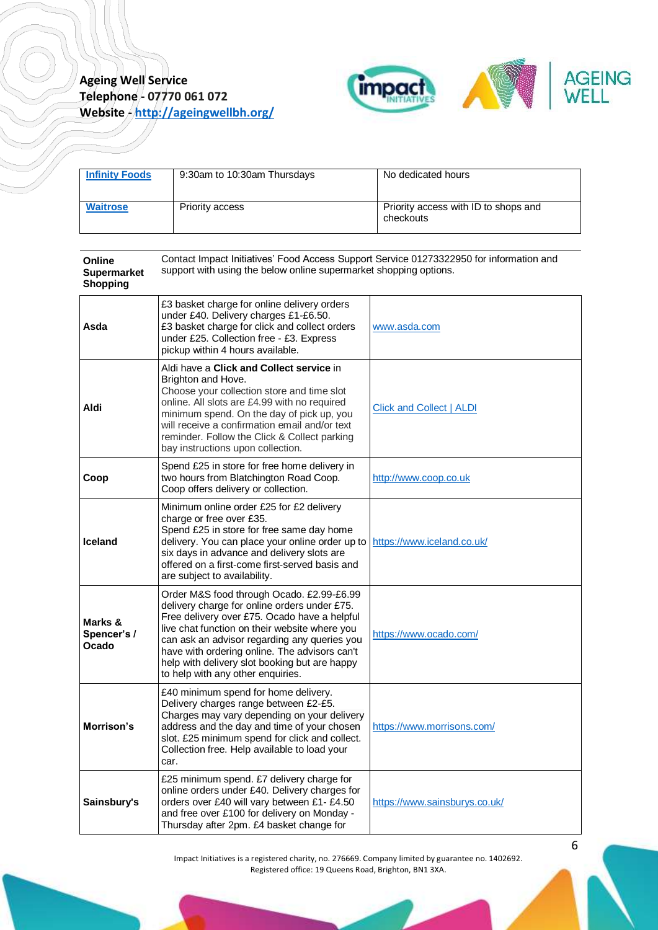

| <b>Infinity Foods</b> | 9:30am to 10:30am Thursdays | No dedicated hours                                |
|-----------------------|-----------------------------|---------------------------------------------------|
| <b>Waitrose</b>       | Priority access             | Priority access with ID to shops and<br>checkouts |

<span id="page-5-0"></span>

| Online<br><b>Supermarket</b><br><b>Shopping</b> | Contact Impact Initiatives' Food Access Support Service 01273322950 for information and<br>support with using the below online supermarket shopping options.                                                                                                                                                                                                                      |                               |
|-------------------------------------------------|-----------------------------------------------------------------------------------------------------------------------------------------------------------------------------------------------------------------------------------------------------------------------------------------------------------------------------------------------------------------------------------|-------------------------------|
| Asda                                            | £3 basket charge for online delivery orders<br>under £40. Delivery charges £1-£6.50.<br>£3 basket charge for click and collect orders<br>under £25. Collection free - £3. Express<br>pickup within 4 hours available.                                                                                                                                                             | www.asda.com                  |
| Aldi                                            | Aldi have a Click and Collect service in<br>Brighton and Hove.<br>Choose your collection store and time slot<br>online. All slots are £4.99 with no required<br>minimum spend. On the day of pick up, you<br>will receive a confirmation email and/or text<br>reminder. Follow the Click & Collect parking<br>bay instructions upon collection.                                   | Click and Collect   ALDI      |
| Coop                                            | Spend £25 in store for free home delivery in<br>two hours from Blatchington Road Coop.<br>Coop offers delivery or collection.                                                                                                                                                                                                                                                     | http://www.coop.co.uk         |
| <b>Iceland</b>                                  | Minimum online order £25 for £2 delivery<br>charge or free over £35.<br>Spend £25 in store for free same day home<br>delivery. You can place your online order up to<br>six days in advance and delivery slots are<br>offered on a first-come first-served basis and<br>are subject to availability.                                                                              | https://www.iceland.co.uk/    |
| Marks &<br>Spencer's /<br>Ocado                 | Order M&S food through Ocado. £2.99-£6.99<br>delivery charge for online orders under £75.<br>Free delivery over £75. Ocado have a helpful<br>live chat function on their website where you<br>can ask an advisor regarding any queries you<br>have with ordering online. The advisors can't<br>help with delivery slot booking but are happy<br>to help with any other enquiries. | https://www.ocado.com/        |
| Morrison's                                      | £40 minimum spend for home delivery.<br>Delivery charges range between £2-£5.<br>Charges may vary depending on your delivery<br>address and the day and time of your chosen<br>slot. £25 minimum spend for click and collect.<br>Collection free. Help available to load your<br>car.                                                                                             | https://www.morrisons.com/    |
| Sainsbury's                                     | £25 minimum spend. £7 delivery charge for<br>online orders under £40. Delivery charges for<br>orders over £40 will vary between £1- £4.50<br>and free over £100 for delivery on Monday -<br>Thursday after 2pm. £4 basket change for                                                                                                                                              | https://www.sainsburys.co.uk/ |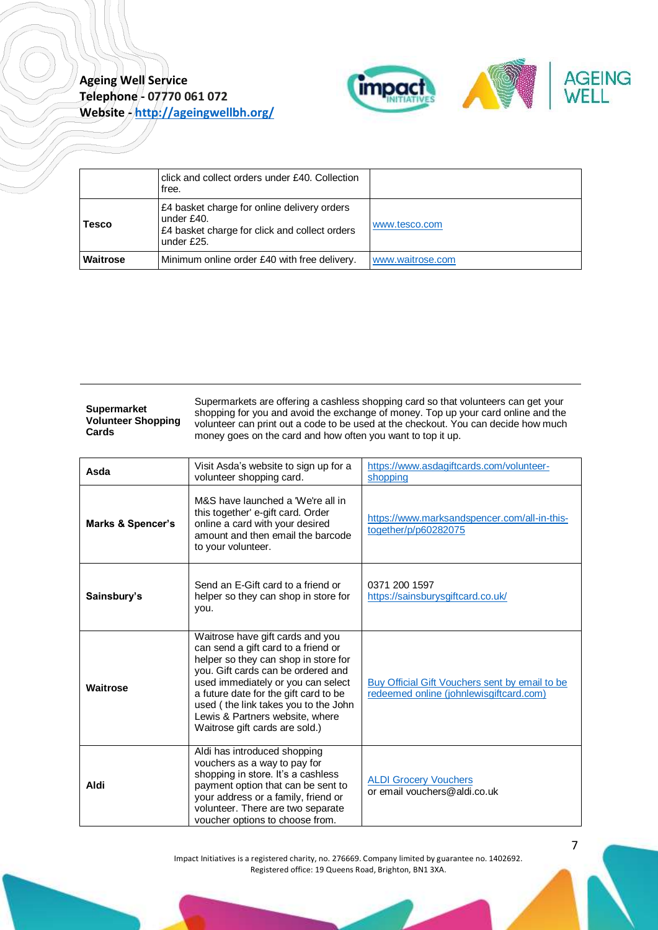

|              | click and collect orders under £40. Collection<br>free.                                                                  |                  |
|--------------|--------------------------------------------------------------------------------------------------------------------------|------------------|
| <b>Tesco</b> | £4 basket charge for online delivery orders<br>under £40.<br>£4 basket charge for click and collect orders<br>under £25. | www.tesco.com    |
| Waitrose     | Minimum online order £40 with free delivery.                                                                             | www.waitrose.com |

<span id="page-6-0"></span>**Supermarket Volunteer Shopping Cards**

Supermarkets are offering a cashless shopping card so that volunteers can get your shopping for you and avoid the exchange of money. Top up your card online and the volunteer can print out a code to be used at the checkout. You can decide how much money goes on the card and how often you want to top it up.

| Asda              | Visit Asda's website to sign up for a<br>volunteer shopping card.                                                                                                                                                                                                                                                                                 | https://www.asdagiftcards.com/volunteer-<br>shopping                                      |
|-------------------|---------------------------------------------------------------------------------------------------------------------------------------------------------------------------------------------------------------------------------------------------------------------------------------------------------------------------------------------------|-------------------------------------------------------------------------------------------|
| Marks & Spencer's | M&S have launched a 'We're all in<br>this together' e-gift card. Order<br>online a card with your desired<br>amount and then email the barcode<br>to your volunteer.                                                                                                                                                                              | https://www.marksandspencer.com/all-in-this-<br>together/p/p60282075                      |
| Sainsbury's       | Send an E-Gift card to a friend or<br>helper so they can shop in store for<br>you.                                                                                                                                                                                                                                                                | 0371 200 1597<br>https://sainsburysgiftcard.co.uk/                                        |
| Waitrose          | Waitrose have gift cards and you<br>can send a gift card to a friend or<br>helper so they can shop in store for<br>vou. Gift cards can be ordered and<br>used immediately or you can select<br>a future date for the gift card to be<br>used (the link takes you to the John<br>Lewis & Partners website, where<br>Waitrose gift cards are sold.) | Buy Official Gift Vouchers sent by email to be<br>redeemed online (iohnlewisgiftcard.com) |
| Aldi              | Aldi has introduced shopping<br>vouchers as a way to pay for<br>shopping in store. It's a cashless<br>payment option that can be sent to<br>your address or a family, friend or<br>volunteer. There are two separate<br>voucher options to choose from.                                                                                           | <b>ALDI Grocery Vouchers</b><br>or email vouchers@aldi.co.uk                              |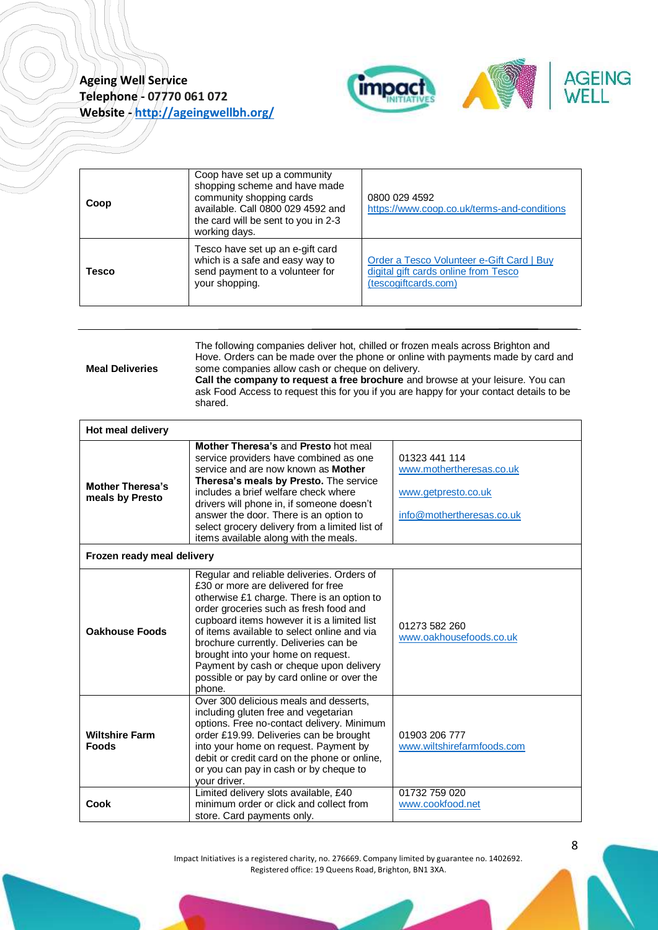

| Coop         | Coop have set up a community<br>shopping scheme and have made<br>community shopping cards<br>available. Call 0800 029 4592 and<br>the card will be sent to you in 2-3<br>working days. | 0800 029 4592<br>https://www.coop.co.uk/terms-and-conditions                                              |
|--------------|----------------------------------------------------------------------------------------------------------------------------------------------------------------------------------------|-----------------------------------------------------------------------------------------------------------|
| <b>Tesco</b> | Tesco have set up an e-gift card<br>which is a safe and easy way to<br>send payment to a volunteer for<br>your shopping.                                                               | Order a Tesco Volunteer e-Gift Card   Buy<br>digital gift cards online from Tesco<br>(tescogiftcards.com) |

<span id="page-7-0"></span>

| <b>Meal Deliveries</b> | The following companies deliver hot, chilled or frozen meals across Brighton and<br>Hove. Orders can be made over the phone or online with payments made by card and<br>some companies allow cash or cheque on delivery.<br>Call the company to request a free brochure and browse at your leisure. You can<br>ask Food Access to request this for you if you are happy for your contact details to be<br>shared. |  |
|------------------------|-------------------------------------------------------------------------------------------------------------------------------------------------------------------------------------------------------------------------------------------------------------------------------------------------------------------------------------------------------------------------------------------------------------------|--|
| Hot meal delivery      |                                                                                                                                                                                                                                                                                                                                                                                                                   |  |
|                        | Mother Theresa's and Presto hot meal                                                                                                                                                                                                                                                                                                                                                                              |  |

| <b>Mother Theresa's</b><br>meals by Presto | Mother Theresa's and Presto hot meal<br>service providers have combined as one<br>service and are now known as <b>Mother</b><br>Theresa's meals by Presto. The service<br>includes a brief welfare check where<br>drivers will phone in, if someone doesn't<br>answer the door. There is an option to<br>select grocery delivery from a limited list of<br>items available along with the meals.                                                         | 01323 441 114<br>www.mothertheresas.co.uk<br>www.getpresto.co.uk<br>info@mothertheresas.co.uk |
|--------------------------------------------|----------------------------------------------------------------------------------------------------------------------------------------------------------------------------------------------------------------------------------------------------------------------------------------------------------------------------------------------------------------------------------------------------------------------------------------------------------|-----------------------------------------------------------------------------------------------|
| Frozen ready meal delivery                 |                                                                                                                                                                                                                                                                                                                                                                                                                                                          |                                                                                               |
| <b>Oakhouse Foods</b>                      | Regular and reliable deliveries. Orders of<br>£30 or more are delivered for free<br>otherwise £1 charge. There is an option to<br>order groceries such as fresh food and<br>cupboard items however it is a limited list<br>of items available to select online and via<br>brochure currently. Deliveries can be<br>brought into your home on request.<br>Payment by cash or cheque upon delivery<br>possible or pay by card online or over the<br>phone. | 01273 582 260<br>www.oakhousefoods.co.uk                                                      |
| <b>Wiltshire Farm</b><br><b>Foods</b>      | Over 300 delicious meals and desserts.<br>including gluten free and vegetarian<br>options. Free no-contact delivery. Minimum<br>order £19.99. Deliveries can be brought<br>into your home on request. Payment by<br>debit or credit card on the phone or online,<br>or you can pay in cash or by cheque to<br>your driver.                                                                                                                               | 01903 206 777<br>www.wiltshirefarmfoods.com                                                   |
| <b>Cook</b>                                | Limited delivery slots available, £40<br>minimum order or click and collect from<br>store. Card payments only.                                                                                                                                                                                                                                                                                                                                           | 01732 759 020<br>www.cookfood.net                                                             |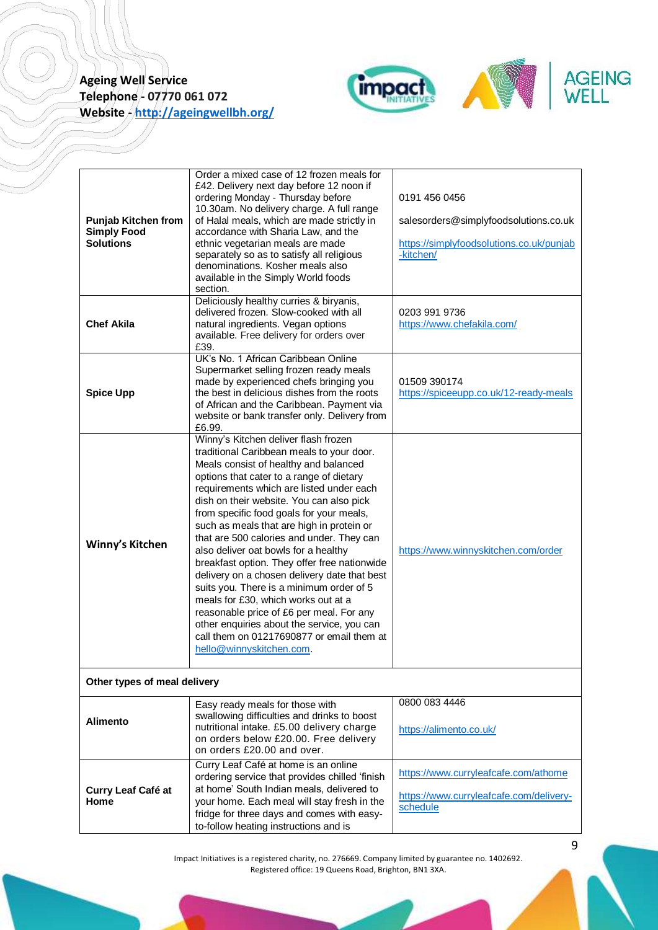

| <b>Punjab Kitchen from</b><br><b>Simply Food</b><br>Solutions | Order a mixed case of 12 frozen meals for<br>£42. Delivery next day before 12 noon if<br>ordering Monday - Thursday before<br>10.30am. No delivery charge. A full range<br>of Halal meals, which are made strictly in<br>accordance with Sharia Law, and the<br>ethnic vegetarian meals are made<br>separately so as to satisfy all religious<br>denominations. Kosher meals also<br>available in the Simply World foods<br>section.                                                                                                                                                                                                                                                                                                                                                               | 0191 456 0456<br>salesorders@simplyfoodsolutions.co.uk<br>https://simplyfoodsolutions.co.uk/punjab<br>-kitchen/ |
|---------------------------------------------------------------|----------------------------------------------------------------------------------------------------------------------------------------------------------------------------------------------------------------------------------------------------------------------------------------------------------------------------------------------------------------------------------------------------------------------------------------------------------------------------------------------------------------------------------------------------------------------------------------------------------------------------------------------------------------------------------------------------------------------------------------------------------------------------------------------------|-----------------------------------------------------------------------------------------------------------------|
| <b>Chef Akila</b>                                             | Deliciously healthy curries & biryanis,<br>delivered frozen. Slow-cooked with all<br>natural ingredients. Vegan options<br>available. Free delivery for orders over<br>£39.                                                                                                                                                                                                                                                                                                                                                                                                                                                                                                                                                                                                                        | 0203 991 9736<br>https://www.chefakila.com/                                                                     |
| <b>Spice Upp</b>                                              | UK's No. 1 African Caribbean Online<br>Supermarket selling frozen ready meals<br>made by experienced chefs bringing you<br>the best in delicious dishes from the roots<br>of African and the Caribbean. Payment via<br>website or bank transfer only. Delivery from<br>£6.99.                                                                                                                                                                                                                                                                                                                                                                                                                                                                                                                      | 01509 390174<br>https://spiceeupp.co.uk/12-ready-meals                                                          |
| Winny's Kitchen                                               | Winny's Kitchen deliver flash frozen<br>traditional Caribbean meals to your door.<br>Meals consist of healthy and balanced<br>options that cater to a range of dietary<br>requirements which are listed under each<br>dish on their website. You can also pick<br>from specific food goals for your meals,<br>such as meals that are high in protein or<br>that are 500 calories and under. They can<br>also deliver oat bowls for a healthy<br>breakfast option. They offer free nationwide<br>delivery on a chosen delivery date that best<br>suits you. There is a minimum order of 5<br>meals for £30, which works out at a<br>reasonable price of £6 per meal. For any<br>other enquiries about the service, you can<br>call them on 01217690877 or email them at<br>hello@winnyskitchen.com. | https://www.winnyskitchen.com/order                                                                             |
| Other types of meal delivery                                  |                                                                                                                                                                                                                                                                                                                                                                                                                                                                                                                                                                                                                                                                                                                                                                                                    |                                                                                                                 |
| <b>Alimento</b>                                               | Easy ready meals for those with<br>swallowing difficulties and drinks to boost<br>nutritional intake. £5.00 delivery charge<br>on orders below £20.00. Free delivery<br>on orders £20.00 and over.                                                                                                                                                                                                                                                                                                                                                                                                                                                                                                                                                                                                 | 0800 083 4446<br>https://alimento.co.uk/                                                                        |
| Curry Leaf Café at<br>Home                                    | Curry Leaf Café at home is an online<br>ordering service that provides chilled 'finish<br>at home' South Indian meals, delivered to<br>your home. Each meal will stay fresh in the<br>fridge for three days and comes with easy-<br>to-follow heating instructions and is                                                                                                                                                                                                                                                                                                                                                                                                                                                                                                                          | https://www.curryleafcafe.com/athome<br>https://www.curryleafcafe.com/delivery-<br>schedule                     |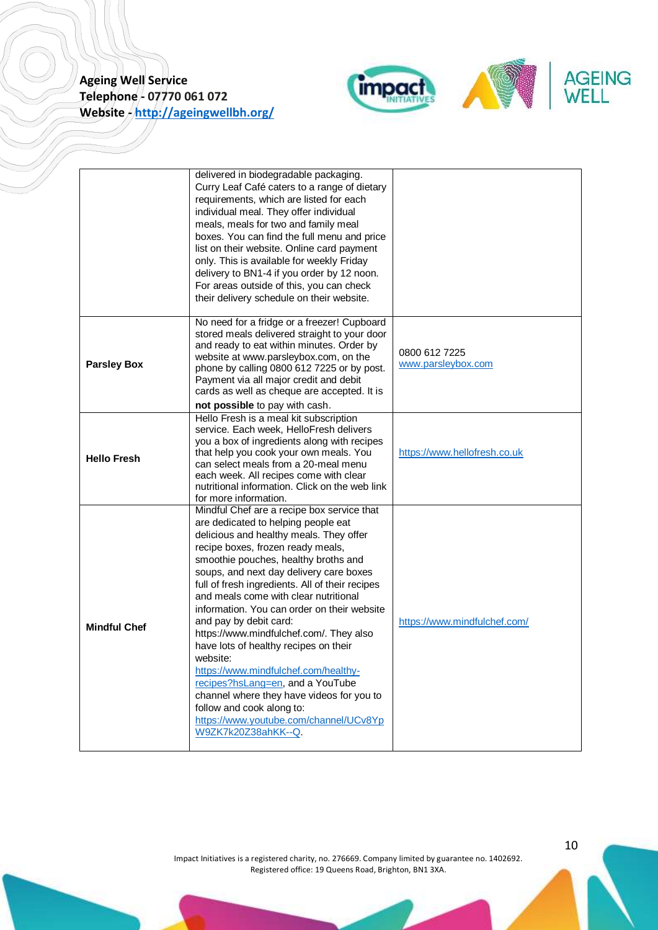

|                     | delivered in biodegradable packaging.<br>Curry Leaf Café caters to a range of dietary<br>requirements, which are listed for each<br>individual meal. They offer individual<br>meals, meals for two and family meal<br>boxes. You can find the full menu and price<br>list on their website. Online card payment<br>only. This is available for weekly Friday<br>delivery to BN1-4 if you order by 12 noon.<br>For areas outside of this, you can check<br>their delivery schedule on their website.                                                                                                                                                                                                                                              |                                     |
|---------------------|--------------------------------------------------------------------------------------------------------------------------------------------------------------------------------------------------------------------------------------------------------------------------------------------------------------------------------------------------------------------------------------------------------------------------------------------------------------------------------------------------------------------------------------------------------------------------------------------------------------------------------------------------------------------------------------------------------------------------------------------------|-------------------------------------|
| <b>Parsley Box</b>  | No need for a fridge or a freezer! Cupboard<br>stored meals delivered straight to your door<br>and ready to eat within minutes. Order by<br>website at www.parsleybox.com, on the<br>phone by calling 0800 612 7225 or by post.<br>Payment via all major credit and debit<br>cards as well as cheque are accepted. It is<br>not possible to pay with cash.                                                                                                                                                                                                                                                                                                                                                                                       | 0800 612 7225<br>www.parsleybox.com |
| <b>Hello Fresh</b>  | Hello Fresh is a meal kit subscription<br>service. Each week, HelloFresh delivers<br>you a box of ingredients along with recipes<br>that help you cook your own meals. You<br>can select meals from a 20-meal menu<br>each week. All recipes come with clear<br>nutritional information. Click on the web link<br>for more information.                                                                                                                                                                                                                                                                                                                                                                                                          | https://www.hellofresh.co.uk        |
| <b>Mindful Chef</b> | Mindful Chef are a recipe box service that<br>are dedicated to helping people eat<br>delicious and healthy meals. They offer<br>recipe boxes, frozen ready meals,<br>smoothie pouches, healthy broths and<br>soups, and next day delivery care boxes<br>full of fresh ingredients. All of their recipes<br>and meals come with clear nutritional<br>information. You can order on their website<br>and pay by debit card:<br>https://www.mindfulchef.com/. They also<br>have lots of healthy recipes on their<br>website:<br>https://www.mindfulchef.com/healthy-<br>recipes?hsLang=en, and a YouTube<br>channel where they have videos for you to<br>follow and cook along to:<br>https://www.youtube.com/channel/UCv8Yp<br>W9ZK7k20Z38ahKK--Q. | https://www.mindfulchef.com/        |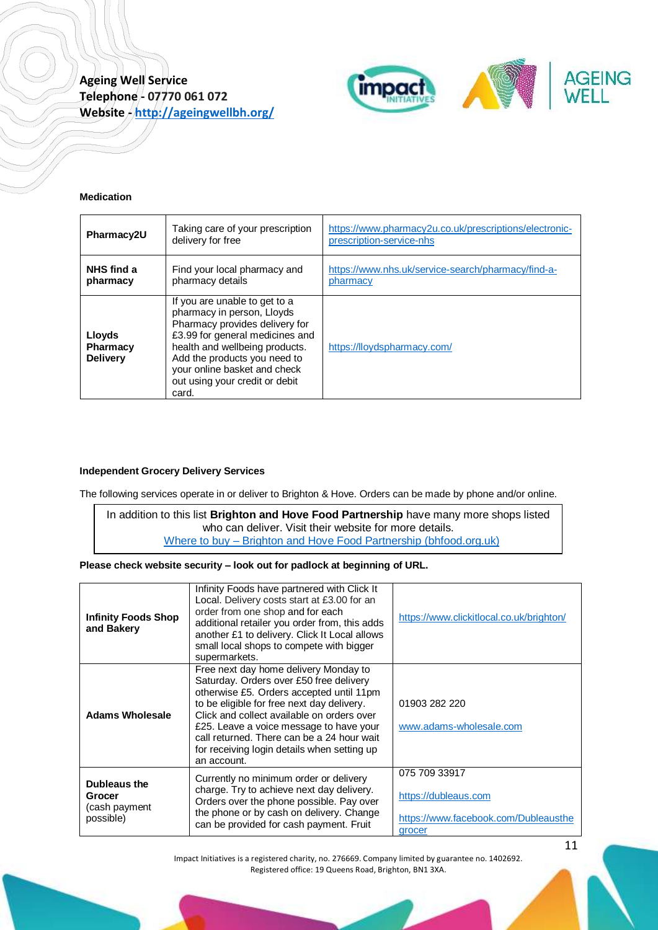

#### <span id="page-10-0"></span>**Medication**

| Pharmacy2U                                   | Taking care of your prescription<br>delivery for free                                                                                                                                                                                                                         | https://www.pharmacy2u.co.uk/prescriptions/electronic-<br>prescription-service-nhs |
|----------------------------------------------|-------------------------------------------------------------------------------------------------------------------------------------------------------------------------------------------------------------------------------------------------------------------------------|------------------------------------------------------------------------------------|
| NHS find a<br>pharmacy                       | Find your local pharmacy and<br>pharmacy details                                                                                                                                                                                                                              | https://www.nhs.uk/service-search/pharmacy/find-a-<br>pharmacy                     |
| Lloyds<br><b>Pharmacy</b><br><b>Delivery</b> | If you are unable to get to a<br>pharmacy in person, Lloyds<br>Pharmacy provides delivery for<br>£3.99 for general medicines and<br>health and wellbeing products.<br>Add the products you need to<br>your online basket and check<br>out using your credit or debit<br>card. | https://lloydspharmacy.com/                                                        |

#### <span id="page-10-1"></span>**Independent Grocery Delivery Services**

The following services operate in or deliver to Brighton & Hove. Orders can be made by phone and/or online.

In addition to this list **Brighton and Hove Food Partnership** have many more shops listed who can deliver. Visit their website for more details. Where to buy – [Brighton and Hove Food Partnership \(bhfood.org.uk\)](https://bhfood.org.uk/category/directory-hub/where-to-buy/)

**Please check website security – look out for padlock at beginning of URL.**

| <b>Infinity Foods Shop</b><br>and Bakery                    | Infinity Foods have partnered with Click It<br>Local. Delivery costs start at £3.00 for an<br>order from one shop and for each<br>additional retailer you order from, this adds<br>another £1 to delivery. Click It Local allows<br>small local shops to compete with bigger<br>supermarkets.                                                                                   | https://www.clickitlocal.co.uk/brighton/                                                |
|-------------------------------------------------------------|---------------------------------------------------------------------------------------------------------------------------------------------------------------------------------------------------------------------------------------------------------------------------------------------------------------------------------------------------------------------------------|-----------------------------------------------------------------------------------------|
| <b>Adams Wholesale</b>                                      | Free next day home delivery Monday to<br>Saturday. Orders over £50 free delivery<br>otherwise £5. Orders accepted until 11pm<br>to be eligible for free next day delivery.<br>Click and collect available on orders over<br>£25. Leave a voice message to have your<br>call returned. There can be a 24 hour wait<br>for receiving login details when setting up<br>an account. | 01903 282 220<br>www.adams-wholesale.com                                                |
| <b>Dubleaus the</b><br>Grocer<br>(cash payment<br>possible) | Currently no minimum order or delivery<br>charge. Try to achieve next day delivery.<br>Orders over the phone possible. Pay over<br>the phone or by cash on delivery. Change<br>can be provided for cash payment. Fruit                                                                                                                                                          | 075 709 33917<br>https://dubleaus.com<br>https://www.facebook.com/Dubleausthe<br>grocer |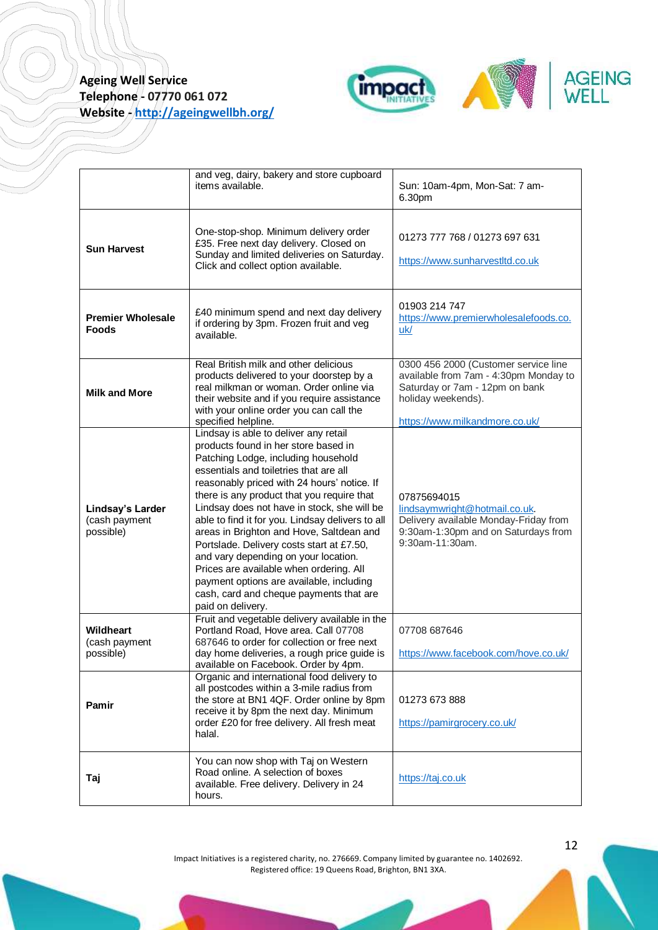

|                                                | and veg, dairy, bakery and store cupboard<br>items available.                                                                                                                                                                                                                                                                                                                                                                                                                                                                                                                                                                                          | Sun: 10am-4pm, Mon-Sat: 7 am-<br>6.30pm                                                                                                                                 |
|------------------------------------------------|--------------------------------------------------------------------------------------------------------------------------------------------------------------------------------------------------------------------------------------------------------------------------------------------------------------------------------------------------------------------------------------------------------------------------------------------------------------------------------------------------------------------------------------------------------------------------------------------------------------------------------------------------------|-------------------------------------------------------------------------------------------------------------------------------------------------------------------------|
| <b>Sun Harvest</b>                             | One-stop-shop. Minimum delivery order<br>£35. Free next day delivery. Closed on<br>Sunday and limited deliveries on Saturday.<br>Click and collect option available.                                                                                                                                                                                                                                                                                                                                                                                                                                                                                   | 01273 777 768 / 01273 697 631<br>https://www.sunharvestltd.co.uk                                                                                                        |
| <b>Premier Wholesale</b><br><b>Foods</b>       | £40 minimum spend and next day delivery<br>if ordering by 3pm. Frozen fruit and veg<br>available.                                                                                                                                                                                                                                                                                                                                                                                                                                                                                                                                                      | 01903 214 747<br>https://www.premierwholesalefoods.co.<br>uk/                                                                                                           |
| <b>Milk and More</b>                           | Real British milk and other delicious<br>products delivered to your doorstep by a<br>real milkman or woman. Order online via<br>their website and if you require assistance<br>with your online order you can call the<br>specified helpline.                                                                                                                                                                                                                                                                                                                                                                                                          | 0300 456 2000 (Customer service line<br>available from 7am - 4:30pm Monday to<br>Saturday or 7am - 12pm on bank<br>holiday weekends).<br>https://www.milkandmore.co.uk/ |
| Lindsay's Larder<br>(cash payment<br>possible) | Lindsay is able to deliver any retail<br>products found in her store based in<br>Patching Lodge, including household<br>essentials and toiletries that are all<br>reasonably priced with 24 hours' notice. If<br>there is any product that you require that<br>Lindsay does not have in stock, she will be<br>able to find it for you. Lindsay delivers to all<br>areas in Brighton and Hove, Saltdean and<br>Portslade. Delivery costs start at £7.50,<br>and vary depending on your location.<br>Prices are available when ordering. All<br>payment options are available, including<br>cash, card and cheque payments that are<br>paid on delivery. | 07875694015<br>lindsaymwright@hotmail.co.uk.<br>Delivery available Monday-Friday from<br>9:30am-1:30pm and on Saturdays from<br>9:30am-11:30am.                         |
| <b>Wildheart</b><br>(cash payment<br>possible) | Fruit and vegetable delivery available in the<br>Portland Road, Hove area. Call 07708<br>687646 to order for collection or free next<br>day home deliveries, a rough price guide is<br>available on Facebook. Order by 4pm.                                                                                                                                                                                                                                                                                                                                                                                                                            | 07708 687646<br>https://www.facebook.com/hove.co.uk/                                                                                                                    |
| Pamir                                          | Organic and international food delivery to<br>all postcodes within a 3-mile radius from<br>the store at BN1 4QF. Order online by 8pm<br>receive it by 8pm the next day. Minimum<br>order £20 for free delivery. All fresh meat<br>halal.                                                                                                                                                                                                                                                                                                                                                                                                               | 01273 673 888<br>https://pamirgrocery.co.uk/                                                                                                                            |
| Taj                                            | You can now shop with Taj on Western<br>Road online. A selection of boxes<br>available. Free delivery. Delivery in 24<br>hours.                                                                                                                                                                                                                                                                                                                                                                                                                                                                                                                        | https://taj.co.uk                                                                                                                                                       |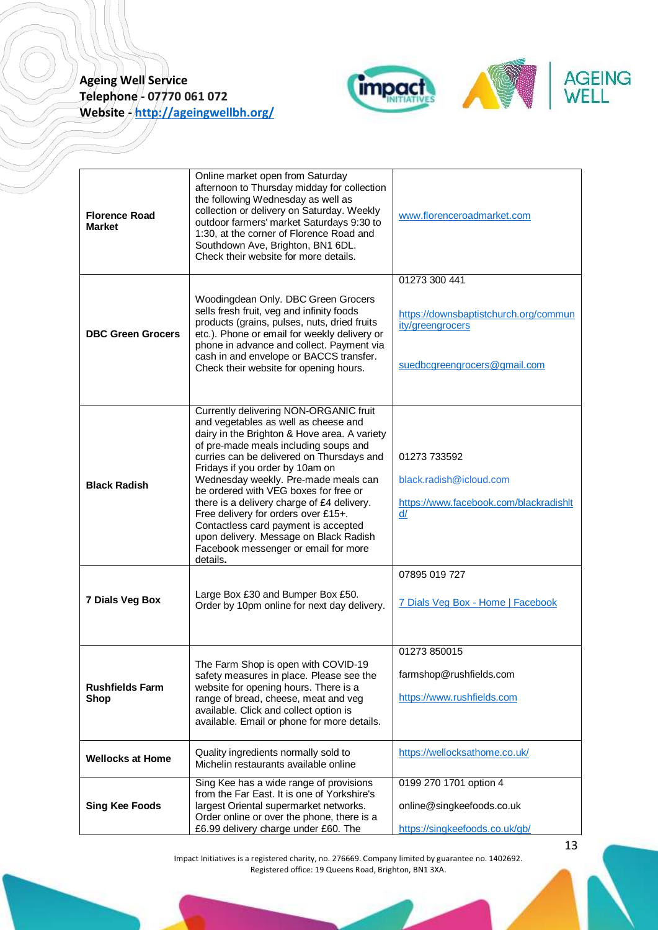

| <b>Florence Road</b><br><b>Market</b> | Online market open from Saturday<br>afternoon to Thursday midday for collection<br>the following Wednesday as well as<br>collection or delivery on Saturday. Weekly<br>outdoor farmers' market Saturdays 9:30 to<br>1:30, at the corner of Florence Road and<br>Southdown Ave, Brighton, BN1 6DL.<br>Check their website for more details.                                                                                                                                                                                                                          | www.florenceroadmarket.com                                                                                 |
|---------------------------------------|---------------------------------------------------------------------------------------------------------------------------------------------------------------------------------------------------------------------------------------------------------------------------------------------------------------------------------------------------------------------------------------------------------------------------------------------------------------------------------------------------------------------------------------------------------------------|------------------------------------------------------------------------------------------------------------|
| <b>DBC Green Grocers</b>              | Woodingdean Only. DBC Green Grocers<br>sells fresh fruit, veg and infinity foods<br>products (grains, pulses, nuts, dried fruits<br>etc.). Phone or email for weekly delivery or<br>phone in advance and collect. Payment via<br>cash in and envelope or BACCS transfer.<br>Check their website for opening hours.                                                                                                                                                                                                                                                  | 01273 300 441<br>https://downsbaptistchurch.org/commun<br>ity/greengrocers<br>suedbcgreengrocers@gmail.com |
| <b>Black Radish</b>                   | Currently delivering NON-ORGANIC fruit<br>and vegetables as well as cheese and<br>dairy in the Brighton & Hove area. A variety<br>of pre-made meals including soups and<br>curries can be delivered on Thursdays and<br>Fridays if you order by 10am on<br>Wednesday weekly. Pre-made meals can<br>be ordered with VEG boxes for free or<br>there is a delivery charge of £4 delivery.<br>Free delivery for orders over £15+.<br>Contactless card payment is accepted<br>upon delivery. Message on Black Radish<br>Facebook messenger or email for more<br>details. | 01273 733592<br>black.radish@icloud.com<br>https://www.facebook.com/blackradishlt<br>d/                    |
| 7 Dials Veg Box                       | Large Box £30 and Bumper Box £50.<br>Order by 10pm online for next day delivery.                                                                                                                                                                                                                                                                                                                                                                                                                                                                                    | 07895 019 727<br>7 Dials Veg Box - Home   Facebook                                                         |
| <b>Rushfields Farm</b><br>Shop        | The Farm Shop is open with COVID-19<br>safety measures in place. Please see the<br>website for opening hours. There is a<br>range of bread, cheese, meat and veg<br>available. Click and collect option is<br>available. Email or phone for more details.                                                                                                                                                                                                                                                                                                           | 01273 850015<br>farmshop@rushfields.com<br>https://www.rushfields.com                                      |
| <b>Wellocks at Home</b>               | Quality ingredients normally sold to<br>Michelin restaurants available online                                                                                                                                                                                                                                                                                                                                                                                                                                                                                       | https://wellocksathome.co.uk/                                                                              |
| <b>Sing Kee Foods</b>                 | Sing Kee has a wide range of provisions<br>from the Far East. It is one of Yorkshire's<br>largest Oriental supermarket networks.<br>Order online or over the phone, there is a<br>£6.99 delivery charge under £60. The                                                                                                                                                                                                                                                                                                                                              | 0199 270 1701 option 4<br>online@singkeefoods.co.uk<br>https://singkeefoods.co.uk/gb/                      |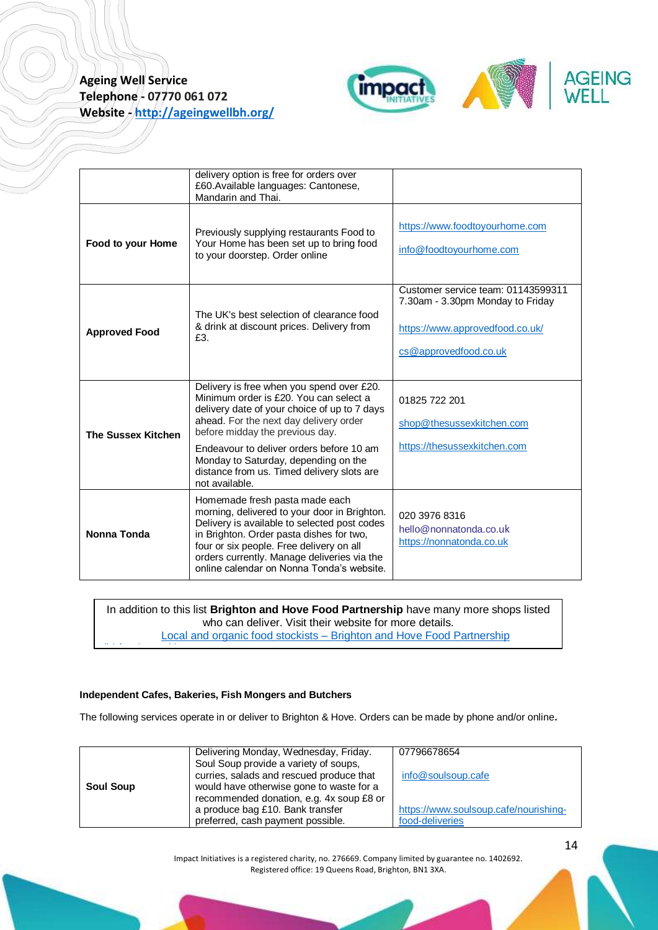

|                           | delivery option is free for orders over<br>£60. Available languages: Cantonese,<br>Mandarin and Thai.                                                                                                                                                                                                              |                                                                                                                                    |
|---------------------------|--------------------------------------------------------------------------------------------------------------------------------------------------------------------------------------------------------------------------------------------------------------------------------------------------------------------|------------------------------------------------------------------------------------------------------------------------------------|
| Food to your Home         | Previously supplying restaurants Food to<br>Your Home has been set up to bring food<br>to your doorstep. Order online                                                                                                                                                                                              | https://www.foodtoyourhome.com<br>info@foodtoyourhome.com                                                                          |
| <b>Approved Food</b>      | The UK's best selection of clearance food<br>& drink at discount prices. Delivery from<br>£3.                                                                                                                                                                                                                      | Customer service team: 01143599311<br>7.30am - 3.30pm Monday to Friday<br>https://www.approvedfood.co.uk/<br>cs@approvedfood.co.uk |
| <b>The Sussex Kitchen</b> | Delivery is free when you spend over £20.<br>Minimum order is £20. You can select a<br>delivery date of your choice of up to 7 days<br>ahead. For the next day delivery order<br>before midday the previous day.                                                                                                   | 01825 722 201<br>shop@thesussexkitchen.com                                                                                         |
|                           | Endeavour to deliver orders before 10 am<br>Monday to Saturday, depending on the<br>distance from us. Timed delivery slots are<br>not available.                                                                                                                                                                   | https://thesussexkitchen.com                                                                                                       |
| Nonna Tonda               | Homemade fresh pasta made each<br>morning, delivered to your door in Brighton.<br>Delivery is available to selected post codes<br>in Brighton. Order pasta dishes for two,<br>four or six people. Free delivery on all<br>orders currently. Manage deliveries via the<br>online calendar on Nonna Tonda's website. | 020 3976 8316<br>hello@nonnatonda.co.uk<br>https://nonnatonda.co.uk                                                                |

<span id="page-13-0"></span>In addition to this list **Brighton and Hove Food Partnership** have many more shops listed who can deliver. Visit their website for more details. Local and organic food stockists – [Brighton and Hove Food Partnership](https://bhfood.org.uk/how-to-hub/local-and-organic-food-stockists/) 

### **Independent Cafes, Bakeries, Fish Mongers and Butchers**

[\(bhfood.org.uk\)](https://bhfood.org.uk/how-to-hub/local-and-organic-food-stockists/)<br>uk

The following services operate in or deliver to Brighton & Hove. Orders can be made by phone and/or online**.**

|                  | Delivering Monday, Wednesday, Friday.    | 07796678654                           |
|------------------|------------------------------------------|---------------------------------------|
|                  | Soul Soup provide a variety of soups,    |                                       |
|                  | curries, salads and rescued produce that | info@soulsoup.cafe                    |
| <b>Soul Soup</b> | would have otherwise gone to waste for a |                                       |
|                  | recommended donation, e.g. 4x soup £8 or |                                       |
|                  | a produce bag £10. Bank transfer         | https://www.soulsoup.cafe/nourishing- |
|                  | preferred, cash payment possible.        | food-deliveries                       |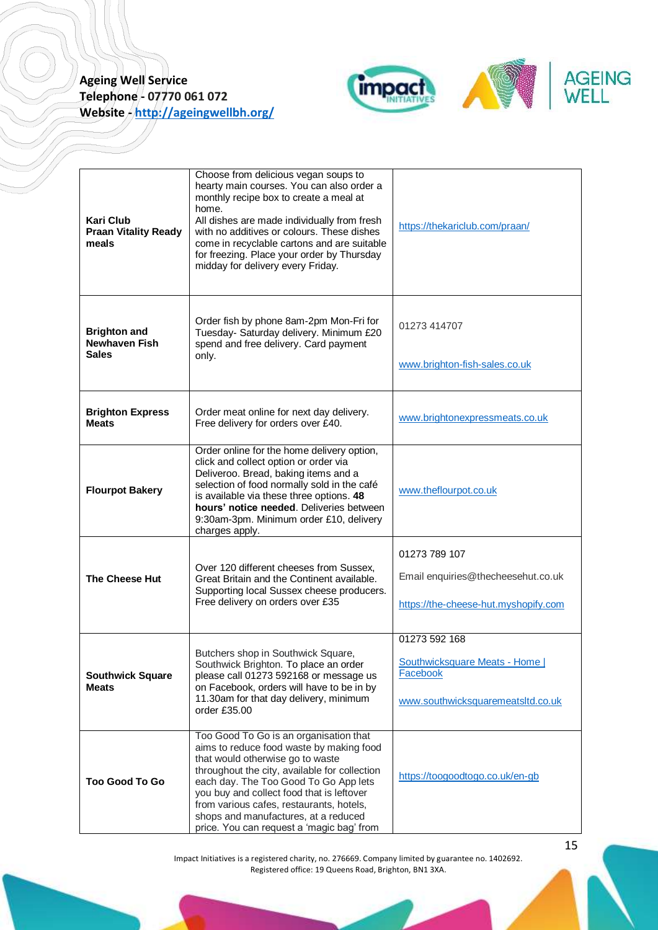

| <b>Kari Club</b><br><b>Praan Vitality Ready</b><br>meals    | Choose from delicious vegan soups to<br>hearty main courses. You can also order a<br>monthly recipe box to create a meal at<br>home.<br>All dishes are made individually from fresh<br>with no additives or colours. These dishes<br>come in recyclable cartons and are suitable<br>for freezing. Place your order by Thursday<br>midday for delivery every Friday.                            | https://thekariclub.com/praan/                                                                        |
|-------------------------------------------------------------|------------------------------------------------------------------------------------------------------------------------------------------------------------------------------------------------------------------------------------------------------------------------------------------------------------------------------------------------------------------------------------------------|-------------------------------------------------------------------------------------------------------|
| <b>Brighton and</b><br><b>Newhaven Fish</b><br><b>Sales</b> | Order fish by phone 8am-2pm Mon-Fri for<br>Tuesday- Saturday delivery. Minimum £20<br>spend and free delivery. Card payment<br>only.                                                                                                                                                                                                                                                           | 01273 414707<br>www.brighton-fish-sales.co.uk                                                         |
| <b>Brighton Express</b><br><b>Meats</b>                     | Order meat online for next day delivery.<br>Free delivery for orders over £40.                                                                                                                                                                                                                                                                                                                 | www.brightonexpressmeats.co.uk                                                                        |
| <b>Flourpot Bakery</b>                                      | Order online for the home delivery option,<br>click and collect option or order via<br>Deliveroo. Bread, baking items and a<br>selection of food normally sold in the café<br>is available via these three options. 48<br>hours' notice needed. Deliveries between<br>9:30am-3pm. Minimum order £10, delivery<br>charges apply.                                                                | www.theflourpot.co.uk                                                                                 |
| <b>The Cheese Hut</b>                                       | Over 120 different cheeses from Sussex,<br>Great Britain and the Continent available.<br>Supporting local Sussex cheese producers.<br>Free delivery on orders over £35                                                                                                                                                                                                                         | 01273 789 107<br>Email enquiries@thecheesehut.co.uk<br>https://the-cheese-hut.myshopify.com           |
| <b>Southwick Square</b><br><b>Meats</b>                     | Butchers shop in Southwick Square,<br>Southwick Brighton. To place an order<br>please call 01273 592168 or message us<br>on Facebook, orders will have to be in by<br>11.30am for that day delivery, minimum<br>order £35.00                                                                                                                                                                   | 01273 592 168<br><b>Southwicksquare Meats - Home</b><br>Facebook<br>www.southwicksquaremeatsltd.co.uk |
| <b>Too Good To Go</b>                                       | Too Good To Go is an organisation that<br>aims to reduce food waste by making food<br>that would otherwise go to waste<br>throughout the city, available for collection<br>each day. The Too Good To Go App lets<br>you buy and collect food that is leftover<br>from various cafes, restaurants, hotels,<br>shops and manufactures, at a reduced<br>price. You can request a 'magic bag' from | https://toogoodtogo.co.uk/en-gb                                                                       |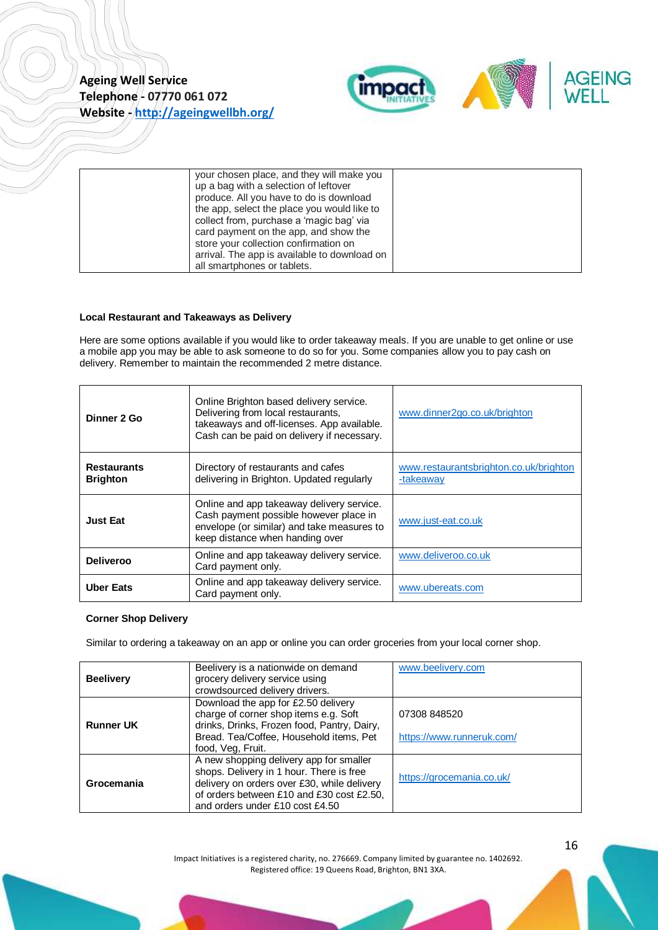

| your chosen place, and they will make you    |  |
|----------------------------------------------|--|
| up a bag with a selection of leftover        |  |
| produce. All you have to do is download      |  |
| the app, select the place you would like to  |  |
| collect from, purchase a 'magic bag' via     |  |
| card payment on the app, and show the        |  |
| store your collection confirmation on        |  |
| arrival. The app is available to download on |  |
| all smartphones or tablets.                  |  |

#### <span id="page-15-0"></span>**Local Restaurant and Takeaways as Delivery**

Here are some options available if you would like to order takeaway meals. If you are unable to get online or use a mobile app you may be able to ask someone to do so for you. Some companies allow you to pay cash on delivery. Remember to maintain the recommended 2 metre distance.

| Dinner 2 Go                           | Online Brighton based delivery service.<br>Delivering from local restaurants,<br>takeaways and off-licenses. App available.<br>Cash can be paid on delivery if necessary. | www.dinner2go.co.uk/brighton                        |
|---------------------------------------|---------------------------------------------------------------------------------------------------------------------------------------------------------------------------|-----------------------------------------------------|
| <b>Restaurants</b><br><b>Brighton</b> | Directory of restaurants and cafes<br>delivering in Brighton. Updated regularly                                                                                           | www.restaurantsbrighton.co.uk/brighton<br>-takeaway |
| <b>Just Eat</b>                       | Online and app takeaway delivery service.<br>Cash payment possible however place in<br>envelope (or similar) and take measures to<br>keep distance when handing over      | www.just-eat.co.uk                                  |
| <b>Deliveroo</b>                      | Online and app takeaway delivery service.<br>Card payment only.                                                                                                           | www.deliveroo.co.uk                                 |
| <b>Uber Eats</b>                      | Online and app takeaway delivery service.<br>Card payment only.                                                                                                           | www.ubereats.com                                    |

#### <span id="page-15-1"></span>**Corner Shop Delivery**

Similar to ordering a takeaway on an app or online you can order groceries from your local corner shop.

| <b>Beelivery</b> | Beelivery is a nationwide on demand<br>grocery delivery service using<br>crowdsourced delivery drivers.                                                                                                            | www.beelivery.com                         |
|------------------|--------------------------------------------------------------------------------------------------------------------------------------------------------------------------------------------------------------------|-------------------------------------------|
| <b>Runner UK</b> | Download the app for £2.50 delivery<br>charge of corner shop items e.g. Soft<br>drinks, Drinks, Frozen food, Pantry, Dairy,<br>Bread. Tea/Coffee, Household items, Pet<br>food, Veg, Fruit.                        | 07308 848520<br>https://www.runneruk.com/ |
| Grocemania       | A new shopping delivery app for smaller<br>shops. Delivery in 1 hour. There is free<br>delivery on orders over £30, while delivery<br>of orders between £10 and £30 cost £2.50,<br>and orders under £10 cost £4.50 | https://grocemania.co.uk/                 |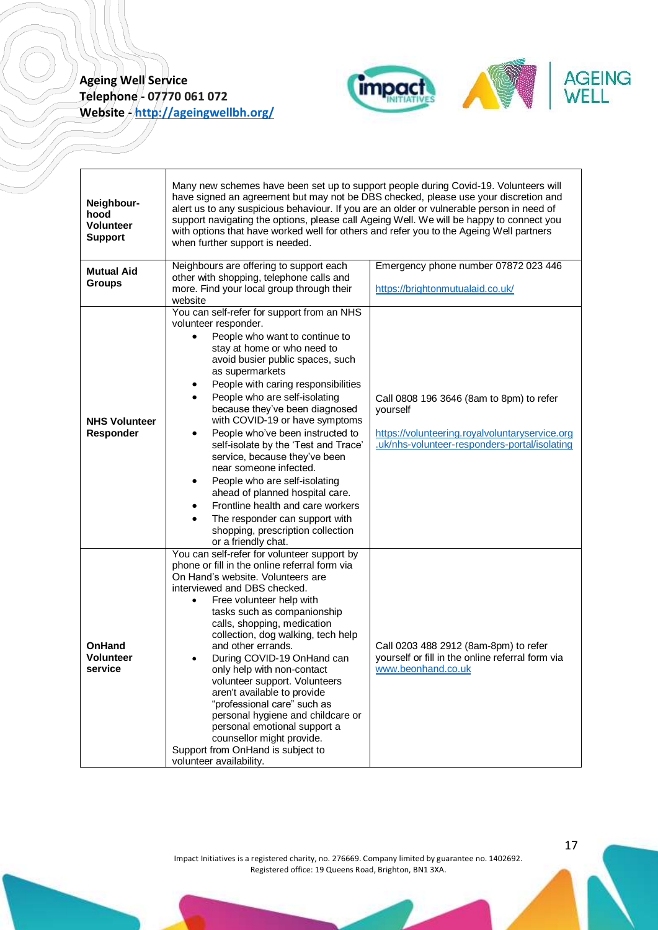

<span id="page-16-0"></span>

| Neighbour-<br>hood<br><b>Volunteer</b><br><b>Support</b> | Many new schemes have been set up to support people during Covid-19. Volunteers will<br>have signed an agreement but may not be DBS checked, please use your discretion and<br>alert us to any suspicious behaviour. If you are an older or vulnerable person in need of<br>support navigating the options, please call Ageing Well. We will be happy to connect you<br>with options that have worked well for others and refer you to the Ageing Well partners<br>when further support is needed.                                                                                                                                                                                                                    |                                                                                                                                                         |  |
|----------------------------------------------------------|-----------------------------------------------------------------------------------------------------------------------------------------------------------------------------------------------------------------------------------------------------------------------------------------------------------------------------------------------------------------------------------------------------------------------------------------------------------------------------------------------------------------------------------------------------------------------------------------------------------------------------------------------------------------------------------------------------------------------|---------------------------------------------------------------------------------------------------------------------------------------------------------|--|
| <b>Mutual Aid</b><br><b>Groups</b>                       | Neighbours are offering to support each<br>Emergency phone number 07872 023 446<br>other with shopping, telephone calls and<br>more. Find your local group through their<br>https://brightonmutualaid.co.uk/<br>website                                                                                                                                                                                                                                                                                                                                                                                                                                                                                               |                                                                                                                                                         |  |
| <b>NHS Volunteer</b><br><b>Responder</b>                 | You can self-refer for support from an NHS<br>volunteer responder.<br>People who want to continue to<br>stay at home or who need to<br>avoid busier public spaces, such<br>as supermarkets<br>People with caring responsibilities<br>People who are self-isolating<br>٠<br>because they've been diagnosed<br>with COVID-19 or have symptoms<br>People who've been instructed to<br>٠<br>self-isolate by the 'Test and Trace'<br>service, because they've been<br>near someone infected.<br>People who are self-isolating<br>٠<br>ahead of planned hospital care.<br>Frontline health and care workers<br>٠<br>The responder can support with<br>$\bullet$<br>shopping, prescription collection<br>or a friendly chat. | Call 0808 196 3646 (8am to 8pm) to refer<br>yourself<br>https://volunteering.royalvoluntaryservice.org<br>.uk/nhs-volunteer-responders-portal/isolating |  |
| <b>OnHand</b><br><b>Volunteer</b><br>service             | You can self-refer for volunteer support by<br>phone or fill in the online referral form via<br>On Hand's website. Volunteers are<br>interviewed and DBS checked.<br>Free volunteer help with<br>tasks such as companionship<br>calls, shopping, medication<br>collection, dog walking, tech help<br>and other errands.<br>During COVID-19 OnHand can<br>only help with non-contact<br>volunteer support. Volunteers<br>aren't available to provide<br>"professional care" such as<br>personal hygiene and childcare or<br>personal emotional support a<br>counsellor might provide.<br>Support from OnHand is subject to<br>volunteer availability.                                                                  | Call 0203 488 2912 (8am-8pm) to refer<br>yourself or fill in the online referral form via<br>www.beonhand.co.uk                                         |  |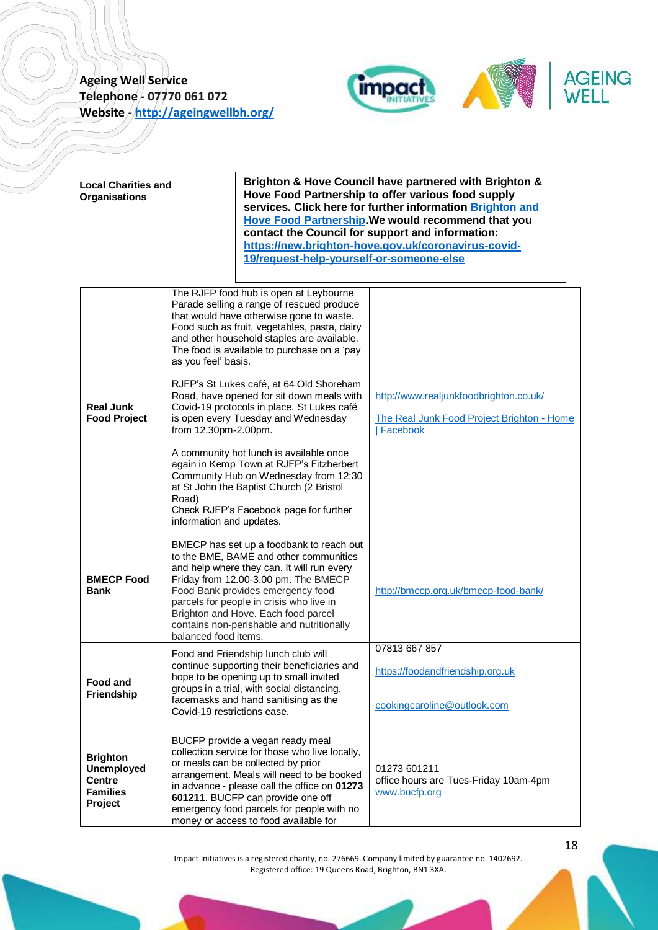

| <b>Local Charities and</b><br><b>Organisations</b>                                  |                                                                                  | 19/request-help-yourself-or-someone-else                                                                                                                                                                                                                                                                                                                                                                                                                                                                                                                                                                                                                                         | Brighton & Hove Council have partnered with Brighton &<br>Hove Food Partnership to offer various food supply<br>services. Click here for further information Brighton and<br>Hove Food Partnership. We would recommend that you<br>contact the Council for support and information:<br>https://new.brighton-hove.gov.uk/coronavirus-covid- |
|-------------------------------------------------------------------------------------|----------------------------------------------------------------------------------|----------------------------------------------------------------------------------------------------------------------------------------------------------------------------------------------------------------------------------------------------------------------------------------------------------------------------------------------------------------------------------------------------------------------------------------------------------------------------------------------------------------------------------------------------------------------------------------------------------------------------------------------------------------------------------|--------------------------------------------------------------------------------------------------------------------------------------------------------------------------------------------------------------------------------------------------------------------------------------------------------------------------------------------|
| <b>Real Junk</b><br><b>Food Project</b>                                             | as you feel' basis.<br>from 12.30pm-2.00pm.<br>Road)<br>information and updates. | The RJFP food hub is open at Leybourne<br>Parade selling a range of rescued produce<br>that would have otherwise gone to waste.<br>Food such as fruit, vegetables, pasta, dairy<br>and other household staples are available.<br>The food is available to purchase on a 'pay<br>RJFP's St Lukes café, at 64 Old Shoreham<br>Road, have opened for sit down meals with<br>Covid-19 protocols in place. St Lukes café<br>is open every Tuesday and Wednesday<br>A community hot lunch is available once<br>again in Kemp Town at RJFP's Fitzherbert<br>Community Hub on Wednesday from 12:30<br>at St John the Baptist Church (2 Bristol<br>Check RJFP's Facebook page for further | http://www.realjunkfoodbrighton.co.uk/<br>The Real Junk Food Project Brighton - Home<br>Facebook                                                                                                                                                                                                                                           |
| <b>BMECP Food</b><br>Bank                                                           | balanced food items.                                                             | BMECP has set up a foodbank to reach out<br>to the BME, BAME and other communities<br>and help where they can. It will run every<br>Friday from 12.00-3.00 pm. The BMECP<br>Food Bank provides emergency food<br>parcels for people in crisis who live in<br>Brighton and Hove. Each food parcel<br>contains non-perishable and nutritionally                                                                                                                                                                                                                                                                                                                                    | http://bmecp.org.uk/bmecp-food-bank/                                                                                                                                                                                                                                                                                                       |
| Food and<br>Friendship                                                              | Covid-19 restrictions ease.                                                      | Food and Friendship lunch club will<br>continue supporting their beneficiaries and<br>hope to be opening up to small invited<br>groups in a trial, with social distancing,<br>facemasks and hand sanitising as the                                                                                                                                                                                                                                                                                                                                                                                                                                                               | 07813 667 857<br>https://foodandfriendship.org.uk<br>cookingcaroline@outlook.com                                                                                                                                                                                                                                                           |
| <b>Brighton</b><br><b>Unemployed</b><br><b>Centre</b><br><b>Families</b><br>Project |                                                                                  | BUCFP provide a vegan ready meal<br>collection service for those who live locally,<br>or meals can be collected by prior<br>arrangement. Meals will need to be booked<br>in advance - please call the office on 01273<br>601211. BUCFP can provide one off<br>emergency food parcels for people with no<br>money or access to food available for                                                                                                                                                                                                                                                                                                                                 | 01273 601211<br>office hours are Tues-Friday 10am-4pm<br>www.bucfp.org                                                                                                                                                                                                                                                                     |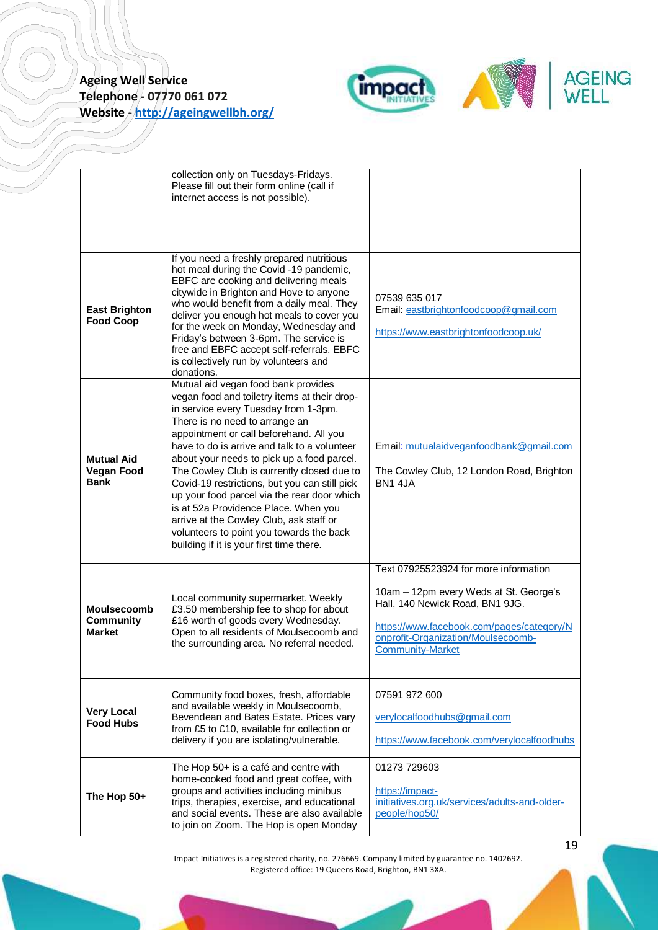

|                                                       | collection only on Tuesdays-Fridays.<br>Please fill out their form online (call if<br>internet access is not possible).<br>If you need a freshly prepared nutritious<br>hot meal during the Covid -19 pandemic,<br>EBFC are cooking and delivering meals<br>citywide in Brighton and Hove to anyone<br>who would benefit from a daily meal. They                                                                                                                                                                                                                                                                                | 07539 635 017                                                                                                                                                                                                                    |
|-------------------------------------------------------|---------------------------------------------------------------------------------------------------------------------------------------------------------------------------------------------------------------------------------------------------------------------------------------------------------------------------------------------------------------------------------------------------------------------------------------------------------------------------------------------------------------------------------------------------------------------------------------------------------------------------------|----------------------------------------------------------------------------------------------------------------------------------------------------------------------------------------------------------------------------------|
| <b>East Brighton</b><br><b>Food Coop</b>              | deliver you enough hot meals to cover you<br>for the week on Monday, Wednesday and<br>Friday's between 3-6pm. The service is<br>free and EBFC accept self-referrals. EBFC<br>is collectively run by volunteers and<br>donations.                                                                                                                                                                                                                                                                                                                                                                                                | Email: eastbrightonfoodcoop@gmail.com<br>https://www.eastbrightonfoodcoop.uk/                                                                                                                                                    |
| <b>Mutual Aid</b><br><b>Vegan Food</b><br><b>Bank</b> | Mutual aid vegan food bank provides<br>vegan food and toiletry items at their drop-<br>in service every Tuesday from 1-3pm.<br>There is no need to arrange an<br>appointment or call beforehand. All you<br>have to do is arrive and talk to a volunteer<br>about your needs to pick up a food parcel.<br>The Cowley Club is currently closed due to<br>Covid-19 restrictions, but you can still pick<br>up your food parcel via the rear door which<br>is at 52a Providence Place. When you<br>arrive at the Cowley Club, ask staff or<br>volunteers to point you towards the back<br>building if it is your first time there. | Email: mutualaidveganfoodbank@gmail.com<br>The Cowley Club, 12 London Road, Brighton<br><b>BN1 4.IA</b>                                                                                                                          |
| Moulsecoomb<br>Community<br><b>Market</b>             | Local community supermarket. Weekly<br>£3.50 membership fee to shop for about<br>£16 worth of goods every Wednesday.<br>Open to all residents of Moulsecoomb and<br>the surrounding area. No referral needed.                                                                                                                                                                                                                                                                                                                                                                                                                   | Text 07925523924 for more information<br>10am - 12pm every Weds at St. George's<br>Hall, 140 Newick Road, BN1 9JG.<br>https://www.facebook.com/pages/category/N<br>onprofit-Organization/Moulsecoomb-<br><b>Community-Market</b> |
| <b>Very Local</b><br><b>Food Hubs</b>                 | Community food boxes, fresh, affordable<br>and available weekly in Moulsecoomb,<br>Bevendean and Bates Estate. Prices vary<br>from £5 to £10, available for collection or<br>delivery if you are isolating/vulnerable.                                                                                                                                                                                                                                                                                                                                                                                                          | 07591 972 600<br>verylocalfoodhubs@gmail.com<br>https://www.facebook.com/verylocalfoodhubs                                                                                                                                       |
| The Hop 50+                                           | The Hop 50+ is a café and centre with<br>home-cooked food and great coffee, with<br>groups and activities including minibus<br>trips, therapies, exercise, and educational<br>and social events. These are also available<br>to join on Zoom. The Hop is open Monday                                                                                                                                                                                                                                                                                                                                                            | 01273 729603<br>https://impact-<br>initiatives.org.uk/services/adults-and-older-<br>people/hop50/                                                                                                                                |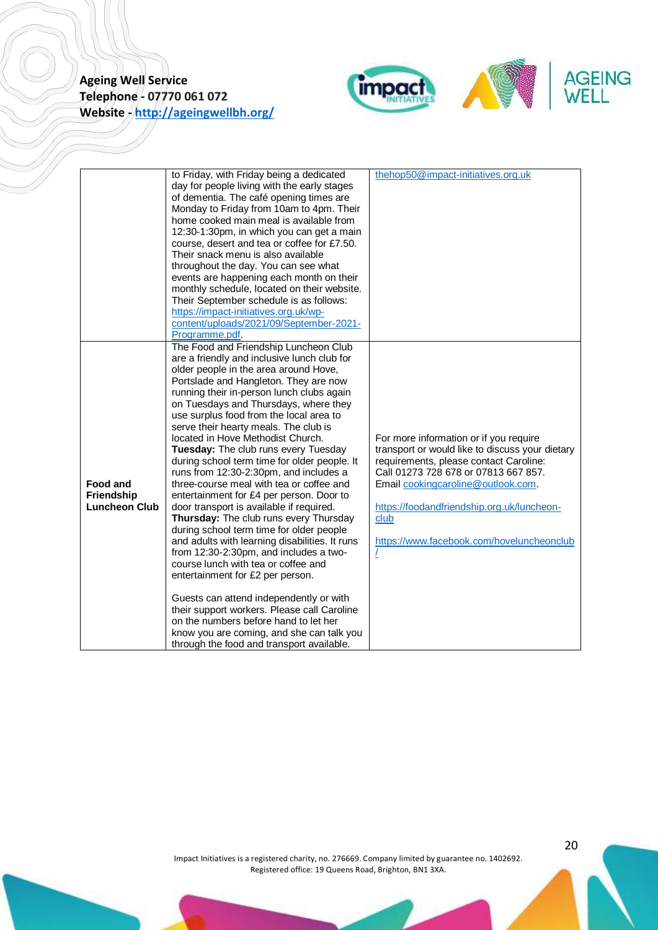

|                                                       | to Friday, with Friday being a dedicated<br>day for people living with the early stages<br>of dementia. The café opening times are<br>Monday to Friday from 10am to 4pm. Their<br>home cooked main meal is available from<br>12:30-1:30pm, in which you can get a main<br>course, desert and tea or coffee for £7.50.<br>Their snack menu is also available<br>throughout the day. You can see what<br>events are happening each month on their<br>monthly schedule, located on their website.<br>Their September schedule is as follows:                                                                                                                                                                                                                                                                                                                                                                                                                                                                                                                                                                                                             | thehop50@impact-initiatives.org.uk                                                                                                                                                                                                                                                                                        |
|-------------------------------------------------------|-------------------------------------------------------------------------------------------------------------------------------------------------------------------------------------------------------------------------------------------------------------------------------------------------------------------------------------------------------------------------------------------------------------------------------------------------------------------------------------------------------------------------------------------------------------------------------------------------------------------------------------------------------------------------------------------------------------------------------------------------------------------------------------------------------------------------------------------------------------------------------------------------------------------------------------------------------------------------------------------------------------------------------------------------------------------------------------------------------------------------------------------------------|---------------------------------------------------------------------------------------------------------------------------------------------------------------------------------------------------------------------------------------------------------------------------------------------------------------------------|
|                                                       | https://impact-initiatives.org.uk/wp-<br>content/uploads/2021/09/September-2021-<br>Programme.pdf.                                                                                                                                                                                                                                                                                                                                                                                                                                                                                                                                                                                                                                                                                                                                                                                                                                                                                                                                                                                                                                                    |                                                                                                                                                                                                                                                                                                                           |
| <b>Food and</b><br>Friendship<br><b>Luncheon Club</b> | The Food and Friendship Luncheon Club<br>are a friendly and inclusive lunch club for<br>older people in the area around Hove,<br>Portslade and Hangleton. They are now<br>running their in-person lunch clubs again<br>on Tuesdays and Thursdays, where they<br>use surplus food from the local area to<br>serve their hearty meals. The club is<br>located in Hove Methodist Church.<br>Tuesday: The club runs every Tuesday<br>during school term time for older people. It<br>runs from 12:30-2:30pm, and includes a<br>three-course meal with tea or coffee and<br>entertainment for £4 per person. Door to<br>door transport is available if required.<br>Thursday: The club runs every Thursday<br>during school term time for older people<br>and adults with learning disabilities. It runs<br>from 12:30-2:30pm, and includes a two-<br>course lunch with tea or coffee and<br>entertainment for £2 per person.<br>Guests can attend independently or with<br>their support workers. Please call Caroline<br>on the numbers before hand to let her<br>know you are coming, and she can talk you<br>through the food and transport available. | For more information or if you require<br>transport or would like to discuss your dietary<br>requirements, please contact Caroline:<br>Call 01273 728 678 or 07813 667 857.<br>Email cookingcaroline@outlook.com.<br>https://foodandfriendship.org.uk/luncheon-<br>club<br>https://www.facebook.com/hoveluncheonclub<br>L |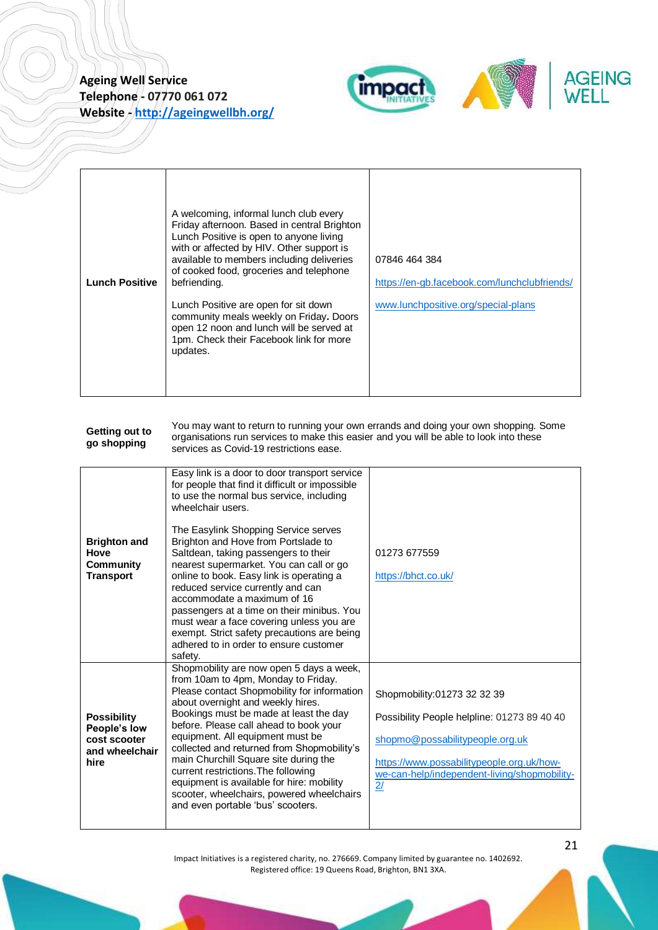

| <b>Lunch Positive</b> | A welcoming, informal lunch club every<br>Friday afternoon. Based in central Brighton<br>Lunch Positive is open to anyone living<br>with or affected by HIV. Other support is<br>available to members including deliveries<br>of cooked food, groceries and telephone<br>befriending. | 07846 464 384<br>https://en-gb.facebook.com/lunchclubfriends/ |
|-----------------------|---------------------------------------------------------------------------------------------------------------------------------------------------------------------------------------------------------------------------------------------------------------------------------------|---------------------------------------------------------------|
|                       | Lunch Positive are open for sit down<br>community meals weekly on Friday. Doors<br>open 12 noon and lunch will be served at<br>1pm. Check their Facebook link for more<br>updates.                                                                                                    | www.lunchpositive.org/special-plans                           |

<span id="page-20-0"></span>

| Getting out to<br>go shopping | You may want to return to running your own errands and doing your own shopping. Some<br>organisations run services to make this easier and you will be able to look into these<br>services as Covid-19 restrictions ease. |
|-------------------------------|---------------------------------------------------------------------------------------------------------------------------------------------------------------------------------------------------------------------------|
|-------------------------------|---------------------------------------------------------------------------------------------------------------------------------------------------------------------------------------------------------------------------|

| <b>Brighton and</b><br>Hove<br>Community<br><b>Transport</b>                 | Easy link is a door to door transport service<br>for people that find it difficult or impossible<br>to use the normal bus service, including<br>wheelchair users.<br>The Easylink Shopping Service serves<br>Brighton and Hove from Portslade to<br>Saltdean, taking passengers to their<br>nearest supermarket. You can call or go<br>online to book. Easy link is operating a<br>reduced service currently and can<br>accommodate a maximum of 16<br>passengers at a time on their minibus. You<br>must wear a face covering unless you are<br>exempt. Strict safety precautions are being<br>adhered to in order to ensure customer<br>safety. | 01273 677559<br>https://bhct.co.uk/                                                                                                                                                                              |
|------------------------------------------------------------------------------|---------------------------------------------------------------------------------------------------------------------------------------------------------------------------------------------------------------------------------------------------------------------------------------------------------------------------------------------------------------------------------------------------------------------------------------------------------------------------------------------------------------------------------------------------------------------------------------------------------------------------------------------------|------------------------------------------------------------------------------------------------------------------------------------------------------------------------------------------------------------------|
| <b>Possibility</b><br>People's low<br>cost scooter<br>and wheelchair<br>hire | Shopmobility are now open 5 days a week,<br>from 10am to 4pm, Monday to Friday.<br>Please contact Shopmobility for information<br>about overnight and weekly hires.<br>Bookings must be made at least the day<br>before. Please call ahead to book your<br>equipment. All equipment must be<br>collected and returned from Shopmobility's<br>main Churchill Square site during the<br>current restrictions. The following<br>equipment is available for hire: mobility<br>scooter, wheelchairs, powered wheelchairs<br>and even portable 'bus' scooters.                                                                                          | Shopmobility:01273 32 32 39<br>Possibility People helpline: 01273 89 40 40<br>shopmo@possabilitypeople.org.uk<br>https://www.possabilitypeople.org.uk/how-<br>we-can-help/independent-living/shopmobility-<br>2/ |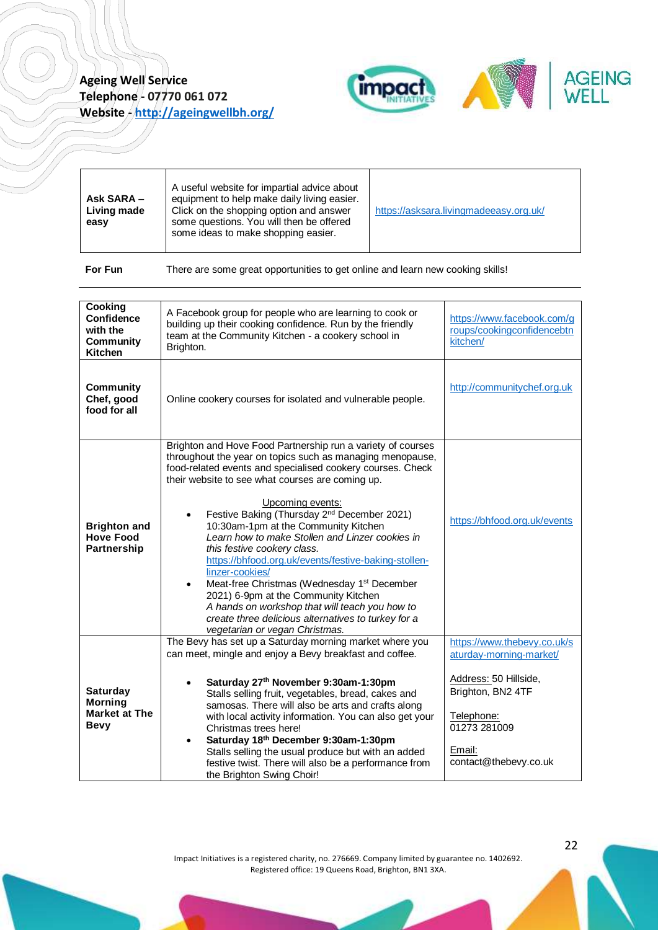

<span id="page-21-0"></span>

| Ask SARA -<br>Living made<br>easy                                              | A useful website for impartial advice about<br>equipment to help make daily living easier.<br>Click on the shopping option and answer<br>some questions. You will then be offered<br>some ideas to make shopping easier.                                                                                                                                                                                                                                                                                                                                                                                                                                                                                                                                                                  | https://asksara.livingmadeeasy.org.uk/                                                                                                                                |
|--------------------------------------------------------------------------------|-------------------------------------------------------------------------------------------------------------------------------------------------------------------------------------------------------------------------------------------------------------------------------------------------------------------------------------------------------------------------------------------------------------------------------------------------------------------------------------------------------------------------------------------------------------------------------------------------------------------------------------------------------------------------------------------------------------------------------------------------------------------------------------------|-----------------------------------------------------------------------------------------------------------------------------------------------------------------------|
| For Fun                                                                        | There are some great opportunities to get online and learn new cooking skills!                                                                                                                                                                                                                                                                                                                                                                                                                                                                                                                                                                                                                                                                                                            |                                                                                                                                                                       |
|                                                                                |                                                                                                                                                                                                                                                                                                                                                                                                                                                                                                                                                                                                                                                                                                                                                                                           |                                                                                                                                                                       |
| Cooking<br><b>Confidence</b><br>with the<br><b>Community</b><br><b>Kitchen</b> | A Facebook group for people who are learning to cook or<br>building up their cooking confidence. Run by the friendly<br>team at the Community Kitchen - a cookery school in<br>Brighton.                                                                                                                                                                                                                                                                                                                                                                                                                                                                                                                                                                                                  | https://www.facebook.com/g<br>roups/cookingconfidencebtn<br>kitchen/                                                                                                  |
| <b>Community</b><br>Chef, good<br>food for all                                 | Online cookery courses for isolated and vulnerable people.                                                                                                                                                                                                                                                                                                                                                                                                                                                                                                                                                                                                                                                                                                                                | http://communitychef.org.uk                                                                                                                                           |
| <b>Brighton and</b><br><b>Hove Food</b><br>Partnership                         | Brighton and Hove Food Partnership run a variety of courses<br>throughout the year on topics such as managing menopause,<br>food-related events and specialised cookery courses. Check<br>their website to see what courses are coming up.<br>Upcoming events:<br>Festive Baking (Thursday 2 <sup>nd</sup> December 2021)<br>10:30am-1pm at the Community Kitchen<br>Learn how to make Stollen and Linzer cookies in<br>this festive cookery class.<br>https://bhfood.org.uk/events/festive-baking-stollen-<br>linzer-cookies/<br>Meat-free Christmas (Wednesday 1 <sup>st</sup> December<br>$\bullet$<br>2021) 6-9pm at the Community Kitchen<br>A hands on workshop that will teach you how to<br>create three delicious alternatives to turkey for a<br>vegetarian or vegan Christmas. | https://bhfood.org.uk/events                                                                                                                                          |
| <b>Saturday</b><br><b>Morning</b><br><b>Market at The</b><br><b>Bevy</b>       | The Bevy has set up a Saturday morning market where you<br>can meet, mingle and enjoy a Bevy breakfast and coffee.<br>Saturday 27th November 9:30am-1:30pm<br>Stalls selling fruit, vegetables, bread, cakes and<br>samosas. There will also be arts and crafts along<br>with local activity information. You can also get your<br>Christmas trees here!<br>Saturday 18th December 9:30am-1:30pm<br>Stalls selling the usual produce but with an added<br>festive twist. There will also be a performance from<br>the Brighton Swing Choir!                                                                                                                                                                                                                                               | https://www.thebevy.co.uk/s<br>aturday-morning-market/<br>Address: 50 Hillside,<br>Brighton, BN2 4TF<br>Telephone:<br>01273 281009<br>Email:<br>contact@thebevy.co.uk |